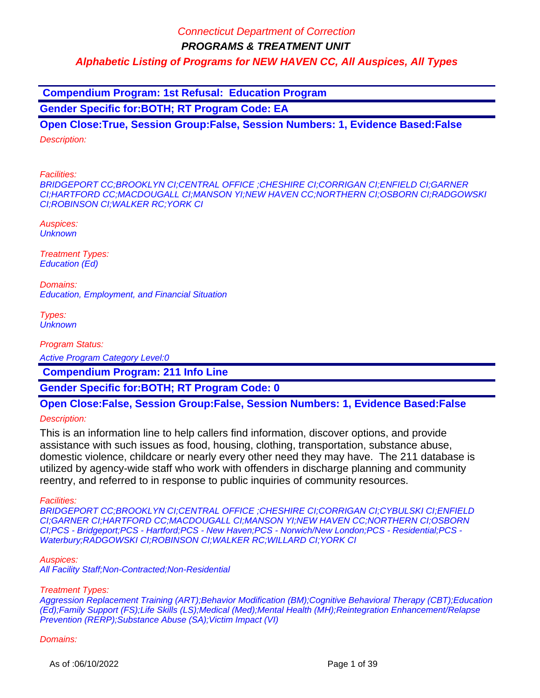**Compendium Program: 1st Refusal: Education Program**

**Gender Specific for:BOTH; RT Program Code: EA**

**Open Close:True, Session Group:False, Session Numbers: 1, Evidence Based:False** Description:

Facilities:

BRIDGEPORT CC;BROOKLYN CI;CENTRAL OFFICE ;CHESHIRE CI;CORRIGAN CI;ENFIELD CI;GARNER CI;HARTFORD CC;MACDOUGALL CI;MANSON YI;NEW HAVEN CC;NORTHERN CI;OSBORN CI;RADGOWSKI CI;ROBINSON CI;WALKER RC;YORK CI

Auspices: **Unknown** 

Treatment Types: Education (Ed)

Domains: Education, Employment, and Financial Situation

Types: **Unknown** 

Program Status:

Active Program Category Level:0

 **Compendium Program: 211 Info Line**

**Gender Specific for:BOTH; RT Program Code: 0**

# **Open Close:False, Session Group:False, Session Numbers: 1, Evidence Based:False**

Description:

This is an information line to help callers find information, discover options, and provide assistance with such issues as food, housing, clothing, transportation, substance abuse, domestic violence, childcare or nearly every other need they may have. The 211 database is utilized by agency-wide staff who work with offenders in discharge planning and community reentry, and referred to in response to public inquiries of community resources.

Facilities:

BRIDGEPORT CC;BROOKLYN CI;CENTRAL OFFICE ;CHESHIRE CI;CORRIGAN CI;CYBULSKI CI;ENFIELD CI;GARNER CI;HARTFORD CC;MACDOUGALL CI;MANSON YI;NEW HAVEN CC;NORTHERN CI;OSBORN CI;PCS - Bridgeport;PCS - Hartford;PCS - New Haven;PCS - Norwich/New London;PCS - Residential;PCS - Waterbury;RADGOWSKI CI;ROBINSON CI;WALKER RC;WILLARD CI;YORK CI

Auspices:

All Facility Staff;Non-Contracted;Non-Residential

#### Treatment Types:

Aggression Replacement Training (ART);Behavior Modification (BM);Cognitive Behavioral Therapy (CBT);Education (Ed);Family Support (FS);Life Skills (LS);Medical (Med);Mental Health (MH);Reintegration Enhancement/Relapse Prevention (RERP);Substance Abuse (SA);Victim Impact (VI)

#### Domains: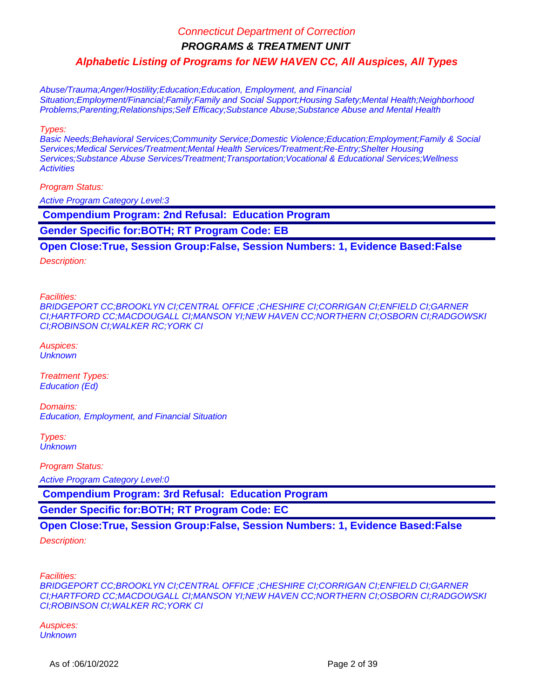**PROGRAMS & TREATMENT UNIT**

**Alphabetic Listing of Programs for NEW HAVEN CC, All Auspices, All Types**

Abuse/Trauma;Anger/Hostility;Education;Education, Employment, and Financial Situation;Employment/Financial;Family;Family and Social Support;Housing Safety;Mental Health;Neighborhood Problems;Parenting;Relationships;Self Efficacy;Substance Abuse;Substance Abuse and Mental Health

Types:

Basic Needs;Behavioral Services;Community Service;Domestic Violence;Education;Employment;Family & Social Services;Medical Services/Treatment;Mental Health Services/Treatment;Re-Entry;Shelter Housing Services; Substance Abuse Services/Treatment; Transportation; Vocational & Educational Services; Wellness **Activities** 

Program Status:

Active Program Category Level:3

 **Compendium Program: 2nd Refusal: Education Program**

**Gender Specific for:BOTH; RT Program Code: EB**

**Open Close:True, Session Group:False, Session Numbers: 1, Evidence Based:False**

Description:

Facilities:

BRIDGEPORT CC;BROOKLYN CI;CENTRAL OFFICE ;CHESHIRE CI;CORRIGAN CI;ENFIELD CI;GARNER CI;HARTFORD CC;MACDOUGALL CI;MANSON YI;NEW HAVEN CC;NORTHERN CI;OSBORN CI;RADGOWSKI CI;ROBINSON CI;WALKER RC;YORK CI

Auspices: **Unknown** 

Treatment Types: Education (Ed)

Domains: Education, Employment, and Financial Situation

Types: **Unknown** 

Program Status:

Active Program Category Level:0

 **Compendium Program: 3rd Refusal: Education Program**

**Gender Specific for:BOTH; RT Program Code: EC**

**Open Close:True, Session Group:False, Session Numbers: 1, Evidence Based:False**

Description:

Facilities:

BRIDGEPORT CC;BROOKLYN CI;CENTRAL OFFICE ;CHESHIRE CI;CORRIGAN CI;ENFIELD CI;GARNER CI;HARTFORD CC;MACDOUGALL CI;MANSON YI;NEW HAVEN CC;NORTHERN CI;OSBORN CI;RADGOWSKI CI;ROBINSON CI;WALKER RC;YORK CI

Auspices: **Unknown**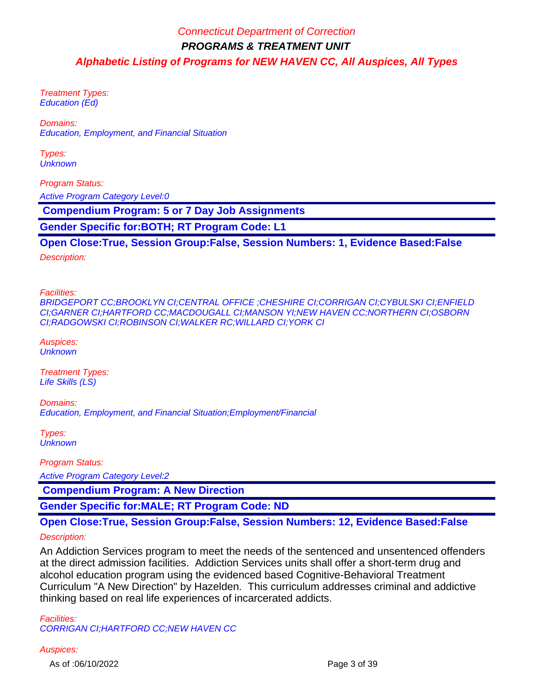Treatment Types: Education (Ed)

Domains: Education, Employment, and Financial Situation

Types: **Unknown** 

Program Status: Active Program Category Level:0

 **Compendium Program: 5 or 7 Day Job Assignments**

**Gender Specific for:BOTH; RT Program Code: L1**

### **Open Close:True, Session Group:False, Session Numbers: 1, Evidence Based:False**

Description:

Facilities:

BRIDGEPORT CC;BROOKLYN CI;CENTRAL OFFICE ;CHESHIRE CI;CORRIGAN CI;CYBULSKI CI;ENFIELD CI;GARNER CI;HARTFORD CC;MACDOUGALL CI;MANSON YI;NEW HAVEN CC;NORTHERN CI;OSBORN CI;RADGOWSKI CI;ROBINSON CI;WALKER RC;WILLARD CI;YORK CI

Auspices: **Unknown** 

Treatment Types: Life Skills (LS)

Domains: Education, Employment, and Financial Situation;Employment/Financial

Types: **Unknown** 

Program Status:

Active Program Category Level:2

 **Compendium Program: A New Direction**

**Gender Specific for:MALE; RT Program Code: ND**

### **Open Close:True, Session Group:False, Session Numbers: 12, Evidence Based:False**

Description:

An Addiction Services program to meet the needs of the sentenced and unsentenced offenders at the direct admission facilities. Addiction Services units shall offer a short-term drug and alcohol education program using the evidenced based Cognitive-Behavioral Treatment Curriculum "A New Direction" by Hazelden. This curriculum addresses criminal and addictive thinking based on real life experiences of incarcerated addicts.

Facilities: CORRIGAN CI;HARTFORD CC;NEW HAVEN CC

#### Auspices:

As of :06/10/2022 Page 3 of 39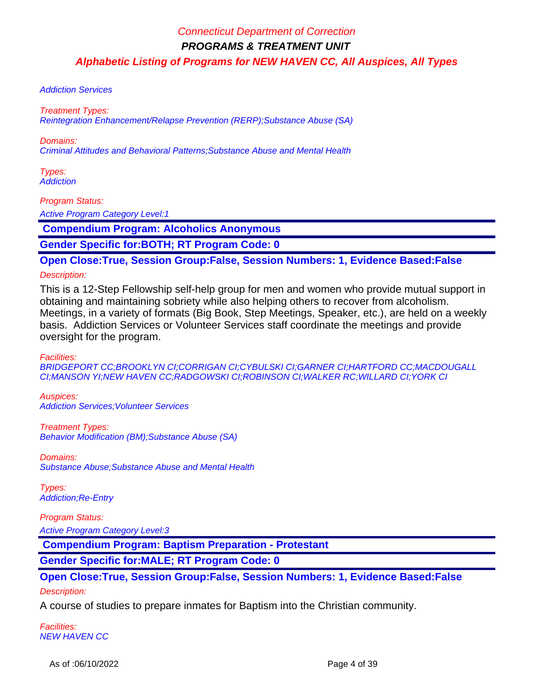#### Addiction Services

#### Treatment Types:

Reintegration Enhancement/Relapse Prevention (RERP);Substance Abuse (SA)

Domains:

Criminal Attitudes and Behavioral Patterns;Substance Abuse and Mental Health

Types: **Addiction** 

Program Status:

**Active Program Category Level:1** 

 **Compendium Program: Alcoholics Anonymous**

**Gender Specific for:BOTH; RT Program Code: 0**

**Open Close:True, Session Group:False, Session Numbers: 1, Evidence Based:False**

#### Description:

This is a 12-Step Fellowship self-help group for men and women who provide mutual support in obtaining and maintaining sobriety while also helping others to recover from alcoholism. Meetings, in a variety of formats (Big Book, Step Meetings, Speaker, etc.), are held on a weekly basis. Addiction Services or Volunteer Services staff coordinate the meetings and provide oversight for the program.

Facilities:

BRIDGEPORT CC;BROOKLYN CI;CORRIGAN CI;CYBULSKI CI;GARNER CI;HARTFORD CC;MACDOUGALL CI;MANSON YI;NEW HAVEN CC;RADGOWSKI CI;ROBINSON CI;WALKER RC;WILLARD CI;YORK CI

Auspices: Addiction Services;Volunteer Services

Treatment Types: Behavior Modification (BM);Substance Abuse (SA)

Domains: Substance Abuse;Substance Abuse and Mental Health

Types: Addiction;Re-Entry

Program Status: Active Program Category Level:3

 **Compendium Program: Baptism Preparation - Protestant**

**Gender Specific for:MALE; RT Program Code: 0**

### **Open Close:True, Session Group:False, Session Numbers: 1, Evidence Based:False**

#### Description:

A course of studies to prepare inmates for Baptism into the Christian community.

Facilities: NEW HAVEN CC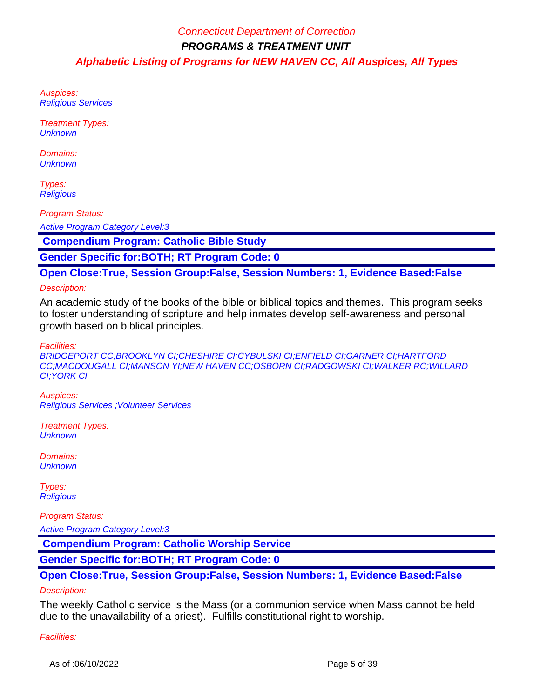Auspices: Religious Services

Treatment Types: **Unknown** 

Domains: **Unknown** 

Types: **Religious** 

Program Status:

Active Program Category Level:3

 **Compendium Program: Catholic Bible Study**

**Gender Specific for:BOTH; RT Program Code: 0**

**Open Close:True, Session Group:False, Session Numbers: 1, Evidence Based:False**

### Description:

An academic study of the books of the bible or biblical topics and themes. This program seeks to foster understanding of scripture and help inmates develop self-awareness and personal growth based on biblical principles.

Facilities:

BRIDGEPORT CC;BROOKLYN CI;CHESHIRE CI;CYBULSKI CI;ENFIELD CI;GARNER CI;HARTFORD CC;MACDOUGALL CI;MANSON YI;NEW HAVEN CC;OSBORN CI;RADGOWSKI CI;WALKER RC;WILLARD CI;YORK CI

Auspices: Religious Services ;Volunteer Services

Treatment Types: **Unknown** 

Domains: **Unknown** 

Types: **Religious** 

Program Status:

Active Program Category Level:3

 **Compendium Program: Catholic Worship Service**

**Gender Specific for:BOTH; RT Program Code: 0**

# **Open Close:True, Session Group:False, Session Numbers: 1, Evidence Based:False**

#### Description:

The weekly Catholic service is the Mass (or a communion service when Mass cannot be held due to the unavailability of a priest). Fulfills constitutional right to worship.

Facilities: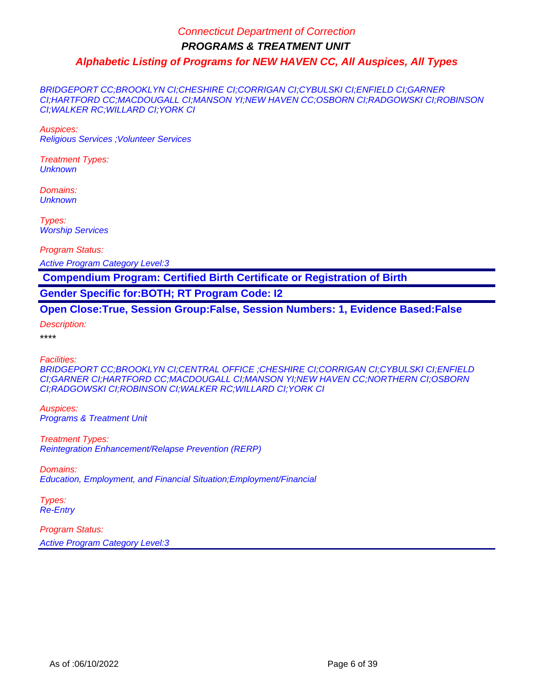BRIDGEPORT CC;BROOKLYN CI;CHESHIRE CI;CORRIGAN CI;CYBULSKI CI;ENFIELD CI;GARNER CI;HARTFORD CC;MACDOUGALL CI;MANSON YI;NEW HAVEN CC;OSBORN CI;RADGOWSKI CI;ROBINSON CI;WALKER RC;WILLARD CI;YORK CI

Auspices: Religious Services ;Volunteer Services

Treatment Types: **Unknown** 

Domains: **Unknown** 

Types: Worship Services

Program Status:

Active Program Category Level:3

 **Compendium Program: Certified Birth Certificate or Registration of Birth**

**Gender Specific for:BOTH; RT Program Code: I2**

**Open Close:True, Session Group:False, Session Numbers: 1, Evidence Based:False**

Description:

\*\*\*\*

Facilities:

BRIDGEPORT CC;BROOKLYN CI;CENTRAL OFFICE ;CHESHIRE CI;CORRIGAN CI;CYBULSKI CI;ENFIELD CI;GARNER CI;HARTFORD CC;MACDOUGALL CI;MANSON YI;NEW HAVEN CC;NORTHERN CI;OSBORN CI;RADGOWSKI CI;ROBINSON CI;WALKER RC;WILLARD CI;YORK CI

Auspices: Programs & Treatment Unit

Treatment Types: Reintegration Enhancement/Relapse Prevention (RERP)

Domains: Education, Employment, and Financial Situation;Employment/Financial

Types: Re-Entry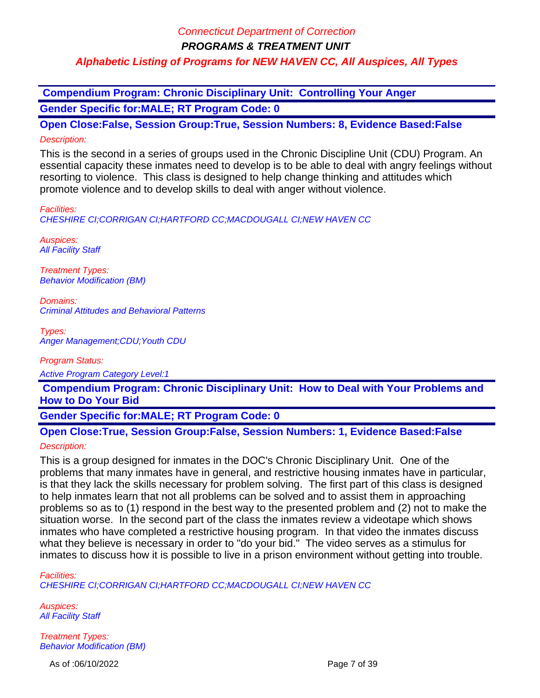**PROGRAMS & TREATMENT UNIT**

## **Alphabetic Listing of Programs for NEW HAVEN CC, All Auspices, All Types**

 **Compendium Program: Chronic Disciplinary Unit: Controlling Your Anger Gender Specific for:MALE; RT Program Code: 0**

**Open Close:False, Session Group:True, Session Numbers: 8, Evidence Based:False** Description:

This is the second in a series of groups used in the Chronic Discipline Unit (CDU) Program. An essential capacity these inmates need to develop is to be able to deal with angry feelings without resorting to violence. This class is designed to help change thinking and attitudes which promote violence and to develop skills to deal with anger without violence.

Facilities:

CHESHIRE CI;CORRIGAN CI;HARTFORD CC;MACDOUGALL CI;NEW HAVEN CC

Auspices: **All Facility Staff** 

Treatment Types: Behavior Modification (BM)

Domains: Criminal Attitudes and Behavioral Patterns

Types: Anger Management;CDU;Youth CDU

Program Status:

Active Program Category Level:1

 **Compendium Program: Chronic Disciplinary Unit: How to Deal with Your Problems and How to Do Your Bid**

**Gender Specific for:MALE; RT Program Code: 0**

### **Open Close:True, Session Group:False, Session Numbers: 1, Evidence Based:False**

### Description:

This is a group designed for inmates in the DOC's Chronic Disciplinary Unit. One of the problems that many inmates have in general, and restrictive housing inmates have in particular, is that they lack the skills necessary for problem solving. The first part of this class is designed to help inmates learn that not all problems can be solved and to assist them in approaching problems so as to (1) respond in the best way to the presented problem and (2) not to make the situation worse. In the second part of the class the inmates review a videotape which shows inmates who have completed a restrictive housing program. In that video the inmates discuss what they believe is necessary in order to "do your bid." The video serves as a stimulus for inmates to discuss how it is possible to live in a prison environment without getting into trouble.

Facilities: CHESHIRE CI;CORRIGAN CI;HARTFORD CC;MACDOUGALL CI;NEW HAVEN CC

Auspices: **All Facility Staff** 

Treatment Types: Behavior Modification (BM)

As of :06/10/2022 Page 7 of 39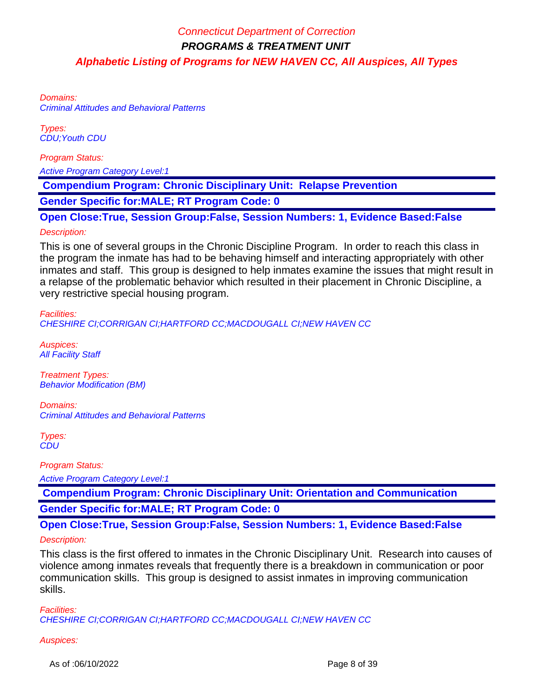Domains: Criminal Attitudes and Behavioral Patterns

Types: CDU;Youth CDU

Program Status:

Active Program Category Level:1

 **Compendium Program: Chronic Disciplinary Unit: Relapse Prevention**

**Gender Specific for:MALE; RT Program Code: 0**

**Open Close:True, Session Group:False, Session Numbers: 1, Evidence Based:False**

#### Description:

This is one of several groups in the Chronic Discipline Program. In order to reach this class in the program the inmate has had to be behaving himself and interacting appropriately with other inmates and staff. This group is designed to help inmates examine the issues that might result in a relapse of the problematic behavior which resulted in their placement in Chronic Discipline, a very restrictive special housing program.

Facilities:

CHESHIRE CI;CORRIGAN CI;HARTFORD CC;MACDOUGALL CI;NEW HAVEN CC

Auspices: **All Facility Staff** 

Treatment Types: Behavior Modification (BM)

Domains: Criminal Attitudes and Behavioral Patterns

Types: **CDU** 

Program Status:

Active Program Category Level:1

 **Compendium Program: Chronic Disciplinary Unit: Orientation and Communication Gender Specific for:MALE; RT Program Code: 0**

**Open Close:True, Session Group:False, Session Numbers: 1, Evidence Based:False**

#### Description:

This class is the first offered to inmates in the Chronic Disciplinary Unit. Research into causes of violence among inmates reveals that frequently there is a breakdown in communication or poor communication skills. This group is designed to assist inmates in improving communication skills.

Facilities: CHESHIRE CI;CORRIGAN CI;HARTFORD CC;MACDOUGALL CI;NEW HAVEN CC

#### Auspices:

As of :06/10/2022 Page 8 of 39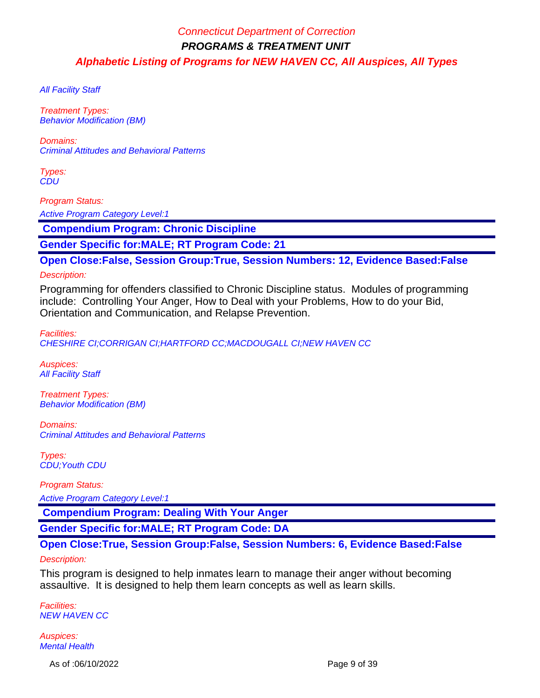**All Facility Staff** 

Treatment Types: Behavior Modification (BM)

Domains: Criminal Attitudes and Behavioral Patterns

Types: **CDU** 

Program Status:

**Active Program Category Level:1** 

 **Compendium Program: Chronic Discipline**

**Gender Specific for:MALE; RT Program Code: 21**

**Open Close:False, Session Group:True, Session Numbers: 12, Evidence Based:False**

Description:

Programming for offenders classified to Chronic Discipline status. Modules of programming include: Controlling Your Anger, How to Deal with your Problems, How to do your Bid, Orientation and Communication, and Relapse Prevention.

Facilities:

CHESHIRE CI;CORRIGAN CI;HARTFORD CC;MACDOUGALL CI;NEW HAVEN CC

Auspices: **All Facility Staff** 

Treatment Types: Behavior Modification (BM)

Domains: Criminal Attitudes and Behavioral Patterns

Types: CDU;Youth CDU

Program Status:

Active Program Category Level:1

 **Compendium Program: Dealing With Your Anger**

**Gender Specific for:MALE; RT Program Code: DA**

## **Open Close:True, Session Group:False, Session Numbers: 6, Evidence Based:False**

#### Description:

This program is designed to help inmates learn to manage their anger without becoming assaultive. It is designed to help them learn concepts as well as learn skills.

Facilities: NEW HAVEN CC

Auspices: Mental Health

As of :06/10/2022 Page 9 of 39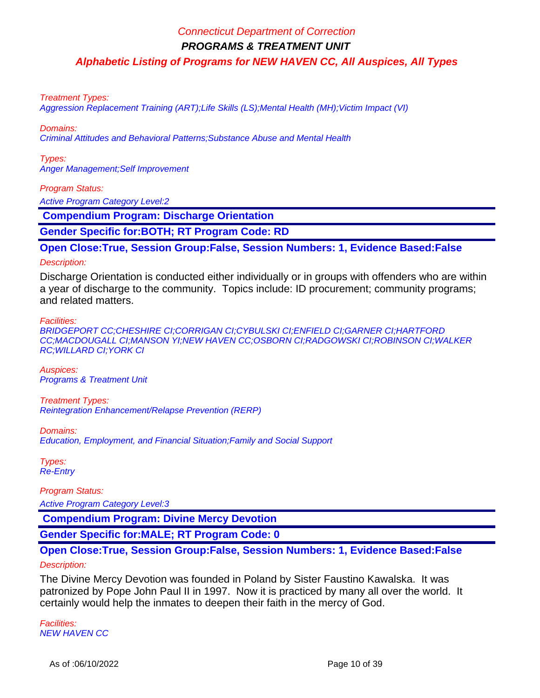**PROGRAMS & TREATMENT UNIT**

**Alphabetic Listing of Programs for NEW HAVEN CC, All Auspices, All Types**

#### Treatment Types:

Aggression Replacement Training (ART);Life Skills (LS);Mental Health (MH);Victim Impact (VI)

Domains:

Criminal Attitudes and Behavioral Patterns;Substance Abuse and Mental Health

Types: Anger Management;Self Improvement

#### Program Status:

Active Program Category Level:2

 **Compendium Program: Discharge Orientation**

**Gender Specific for:BOTH; RT Program Code: RD**

**Open Close:True, Session Group:False, Session Numbers: 1, Evidence Based:False**

#### Description:

Discharge Orientation is conducted either individually or in groups with offenders who are within a year of discharge to the community. Topics include: ID procurement; community programs; and related matters.

#### Facilities:

BRIDGEPORT CC;CHESHIRE CI;CORRIGAN CI;CYBULSKI CI;ENFIELD CI;GARNER CI;HARTFORD CC;MACDOUGALL CI;MANSON YI;NEW HAVEN CC;OSBORN CI;RADGOWSKI CI;ROBINSON CI;WALKER RC;WILLARD CI;YORK CI

Auspices: Programs & Treatment Unit

Treatment Types: Reintegration Enhancement/Relapse Prevention (RERP)

Domains:

Education, Employment, and Financial Situation;Family and Social Support

Types: Re-Entry

Program Status: Active Program Category Level:3

 **Compendium Program: Divine Mercy Devotion**

**Gender Specific for:MALE; RT Program Code: 0**

### **Open Close:True, Session Group:False, Session Numbers: 1, Evidence Based:False** Description:

The Divine Mercy Devotion was founded in Poland by Sister Faustino Kawalska. It was patronized by Pope John Paul II in 1997. Now it is practiced by many all over the world. It certainly would help the inmates to deepen their faith in the mercy of God.

Facilities: NEW HAVEN CC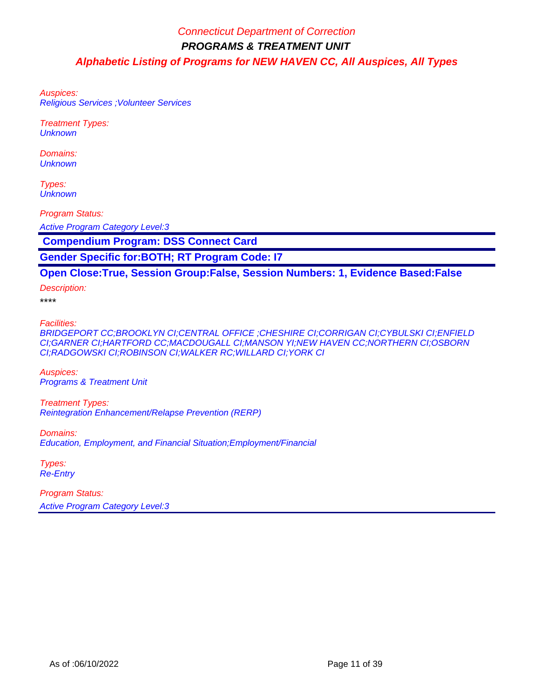Auspices: Religious Services ;Volunteer Services

Treatment Types: **Unknown** 

Domains: **Unknown** 

Types: **Unknown** 

Program Status:

Active Program Category Level:3

 **Compendium Program: DSS Connect Card**

**Gender Specific for:BOTH; RT Program Code: I7**

### **Open Close:True, Session Group:False, Session Numbers: 1, Evidence Based:False**

Description:

\*\*\*\*

Facilities:

BRIDGEPORT CC;BROOKLYN CI;CENTRAL OFFICE ;CHESHIRE CI;CORRIGAN CI;CYBULSKI CI;ENFIELD CI;GARNER CI;HARTFORD CC;MACDOUGALL CI;MANSON YI;NEW HAVEN CC;NORTHERN CI;OSBORN CI;RADGOWSKI CI;ROBINSON CI;WALKER RC;WILLARD CI;YORK CI

Auspices: Programs & Treatment Unit

Treatment Types: Reintegration Enhancement/Relapse Prevention (RERP)

Domains:

Education, Employment, and Financial Situation;Employment/Financial

Types: Re-Entry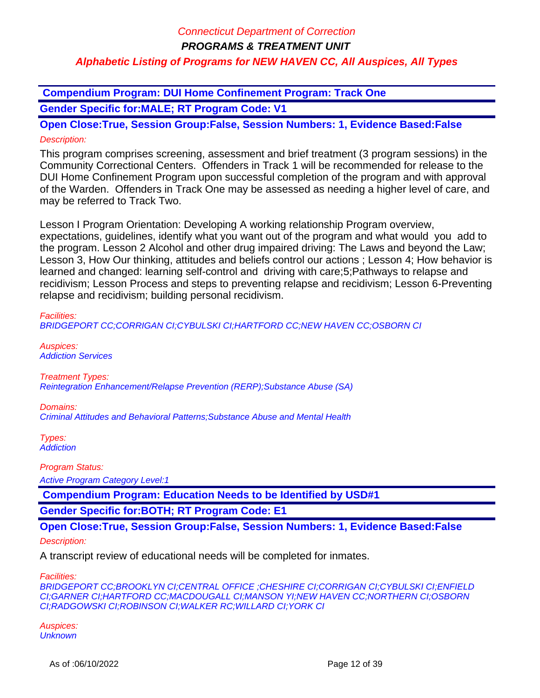**PROGRAMS & TREATMENT UNIT**

## **Alphabetic Listing of Programs for NEW HAVEN CC, All Auspices, All Types**

 **Compendium Program: DUI Home Confinement Program: Track One**

**Gender Specific for:MALE; RT Program Code: V1**

**Open Close:True, Session Group:False, Session Numbers: 1, Evidence Based:False** Description:

This program comprises screening, assessment and brief treatment (3 program sessions) in the Community Correctional Centers. Offenders in Track 1 will be recommended for release to the DUI Home Confinement Program upon successful completion of the program and with approval of the Warden. Offenders in Track One may be assessed as needing a higher level of care, and may be referred to Track Two.

Lesson I Program Orientation: Developing A working relationship Program overview, expectations, guidelines, identify what you want out of the program and what would you add to the program. Lesson 2 Alcohol and other drug impaired driving: The Laws and beyond the Law; Lesson 3, How Our thinking, attitudes and beliefs control our actions ; Lesson 4; How behavior is learned and changed: learning self-control and driving with care;5;Pathways to relapse and recidivism; Lesson Process and steps to preventing relapse and recidivism; Lesson 6-Preventing relapse and recidivism; building personal recidivism.

#### Facilities:

BRIDGEPORT CC;CORRIGAN CI;CYBULSKI CI;HARTFORD CC;NEW HAVEN CC;OSBORN CI

Auspices: Addiction Services

Treatment Types:

Reintegration Enhancement/Relapse Prevention (RERP);Substance Abuse (SA)

Domains:

Criminal Attitudes and Behavioral Patterns;Substance Abuse and Mental Health

Types: **Addiction** 

Program Status:

Active Program Category Level:1

 **Compendium Program: Education Needs to be Identified by USD#1**

**Gender Specific for:BOTH; RT Program Code: E1**

**Open Close:True, Session Group:False, Session Numbers: 1, Evidence Based:False**

#### Description:

A transcript review of educational needs will be completed for inmates.

Facilities:

BRIDGEPORT CC;BROOKLYN CI;CENTRAL OFFICE ;CHESHIRE CI;CORRIGAN CI;CYBULSKI CI;ENFIELD CI;GARNER CI;HARTFORD CC;MACDOUGALL CI;MANSON YI;NEW HAVEN CC;NORTHERN CI;OSBORN CI;RADGOWSKI CI;ROBINSON CI;WALKER RC;WILLARD CI;YORK CI

Auspices: **Unknown**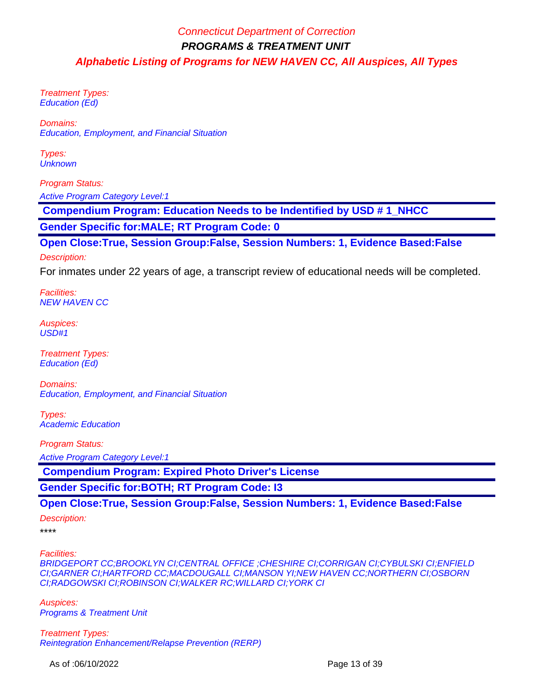Treatment Types: Education (Ed)

Domains: Education, Employment, and Financial Situation

Types: **Unknown** 

Program Status: Active Program Category Level:1

 **Compendium Program: Education Needs to be Indentified by USD # 1\_NHCC**

**Gender Specific for:MALE; RT Program Code: 0**

**Open Close:True, Session Group:False, Session Numbers: 1, Evidence Based:False**

Description:

For inmates under 22 years of age, a transcript review of educational needs will be completed.

Facilities: NEW HAVEN CC

Auspices: USD#1

Treatment Types: Education (Ed)

Domains: Education, Employment, and Financial Situation

Types: Academic Education

Program Status:

Active Program Category Level:1

 **Compendium Program: Expired Photo Driver's License**

**Gender Specific for:BOTH; RT Program Code: I3**

**Open Close:True, Session Group:False, Session Numbers: 1, Evidence Based:False**

Description:

\*\*\*\*

Facilities:

BRIDGEPORT CC;BROOKLYN CI;CENTRAL OFFICE ;CHESHIRE CI;CORRIGAN CI;CYBULSKI CI;ENFIELD CI;GARNER CI;HARTFORD CC;MACDOUGALL CI;MANSON YI;NEW HAVEN CC;NORTHERN CI;OSBORN CI;RADGOWSKI CI;ROBINSON CI;WALKER RC;WILLARD CI;YORK CI

Auspices: Programs & Treatment Unit

Treatment Types: Reintegration Enhancement/Relapse Prevention (RERP)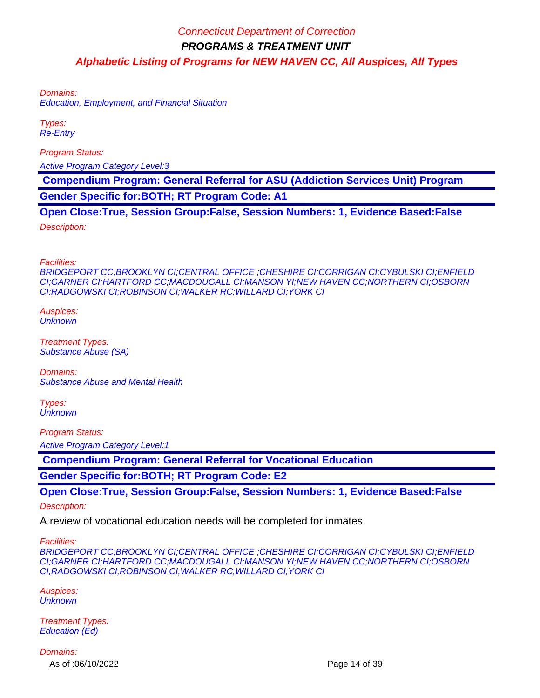Domains: Education, Employment, and Financial Situation

Types: Re-Entry

Program Status:

Active Program Category Level:3

 **Compendium Program: General Referral for ASU (Addiction Services Unit) Program**

**Gender Specific for:BOTH; RT Program Code: A1**

**Open Close:True, Session Group:False, Session Numbers: 1, Evidence Based:False**

Description:

Facilities:

BRIDGEPORT CC;BROOKLYN CI;CENTRAL OFFICE ;CHESHIRE CI;CORRIGAN CI;CYBULSKI CI;ENFIELD CI;GARNER CI;HARTFORD CC;MACDOUGALL CI;MANSON YI;NEW HAVEN CC;NORTHERN CI;OSBORN CI;RADGOWSKI CI;ROBINSON CI;WALKER RC;WILLARD CI;YORK CI

Auspices: **Unknown** 

Treatment Types: Substance Abuse (SA)

Domains: Substance Abuse and Mental Health

Types: **Unknown** 

Program Status:

Active Program Category Level:1

 **Compendium Program: General Referral for Vocational Education**

**Gender Specific for:BOTH; RT Program Code: E2**

## **Open Close:True, Session Group:False, Session Numbers: 1, Evidence Based:False**

Description:

A review of vocational education needs will be completed for inmates.

Facilities:

BRIDGEPORT CC;BROOKLYN CI;CENTRAL OFFICE ;CHESHIRE CI;CORRIGAN CI;CYBULSKI CI;ENFIELD CI;GARNER CI;HARTFORD CC;MACDOUGALL CI;MANSON YI;NEW HAVEN CC;NORTHERN CI;OSBORN CI;RADGOWSKI CI;ROBINSON CI;WALKER RC;WILLARD CI;YORK CI

Auspices: **Unknown** 

Treatment Types: Education (Ed)

Domains:

As of :06/10/2022 **Page 14 of 39**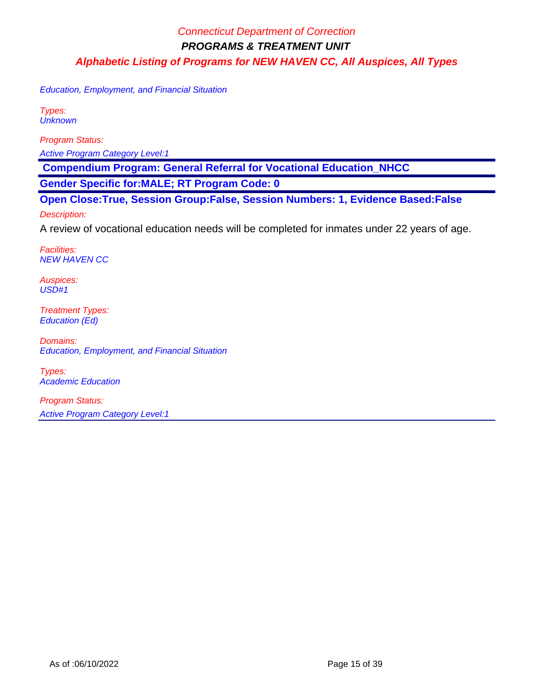Education, Employment, and Financial Situation

Types: **Unknown** 

Program Status:

Active Program Category Level:1

 **Compendium Program: General Referral for Vocational Education\_NHCC**

**Gender Specific for:MALE; RT Program Code: 0**

**Open Close:True, Session Group:False, Session Numbers: 1, Evidence Based:False**

Description:

A review of vocational education needs will be completed for inmates under 22 years of age.

Facilities: NEW HAVEN CC

Auspices: USD#1

Treatment Types: Education (Ed)

Domains: Education, Employment, and Financial Situation

Types: Academic Education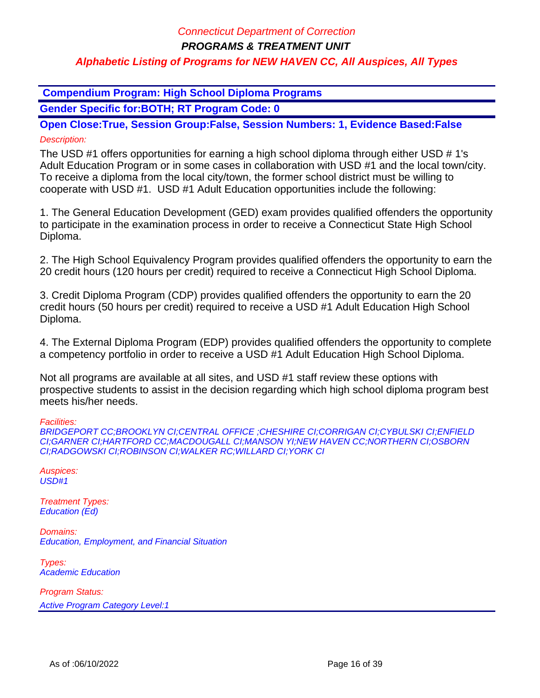**PROGRAMS & TREATMENT UNIT**

### **Alphabetic Listing of Programs for NEW HAVEN CC, All Auspices, All Types**

 **Compendium Program: High School Diploma Programs**

**Gender Specific for:BOTH; RT Program Code: 0**

**Open Close:True, Session Group:False, Session Numbers: 1, Evidence Based:False** Description:

The USD #1 offers opportunities for earning a high school diploma through either USD # 1's Adult Education Program or in some cases in collaboration with USD #1 and the local town/city. To receive a diploma from the local city/town, the former school district must be willing to cooperate with USD #1. USD #1 Adult Education opportunities include the following:

1. The General Education Development (GED) exam provides qualified offenders the opportunity to participate in the examination process in order to receive a Connecticut State High School Diploma.

2. The High School Equivalency Program provides qualified offenders the opportunity to earn the 20 credit hours (120 hours per credit) required to receive a Connecticut High School Diploma.

3. Credit Diploma Program (CDP) provides qualified offenders the opportunity to earn the 20 credit hours (50 hours per credit) required to receive a USD #1 Adult Education High School Diploma.

4. The External Diploma Program (EDP) provides qualified offenders the opportunity to complete a competency portfolio in order to receive a USD #1 Adult Education High School Diploma.

Not all programs are available at all sites, and USD #1 staff review these options with prospective students to assist in the decision regarding which high school diploma program best meets his/her needs.

Facilities:

BRIDGEPORT CC;BROOKLYN CI;CENTRAL OFFICE ;CHESHIRE CI;CORRIGAN CI;CYBULSKI CI;ENFIELD CI;GARNER CI;HARTFORD CC;MACDOUGALL CI;MANSON YI;NEW HAVEN CC;NORTHERN CI;OSBORN CI;RADGOWSKI CI;ROBINSON CI;WALKER RC;WILLARD CI;YORK CI

Auspices:  $USD#1$ 

Treatment Types: Education (Ed)

Domains: Education, Employment, and Financial Situation

Types: Academic Education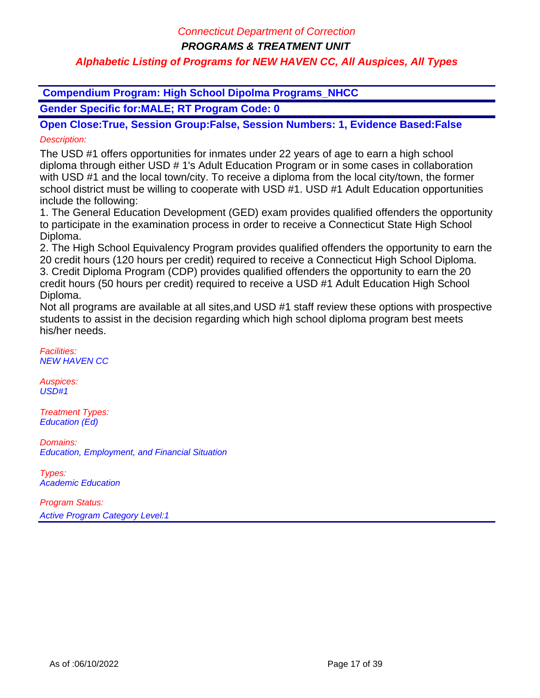**PROGRAMS & TREATMENT UNIT**

## **Alphabetic Listing of Programs for NEW HAVEN CC, All Auspices, All Types**

 **Compendium Program: High School Dipolma Programs\_NHCC**

**Gender Specific for:MALE; RT Program Code: 0**

**Open Close:True, Session Group:False, Session Numbers: 1, Evidence Based:False** Description:

The USD #1 offers opportunities for inmates under 22 years of age to earn a high school diploma through either USD # 1's Adult Education Program or in some cases in collaboration with USD #1 and the local town/city. To receive a diploma from the local city/town, the former school district must be willing to cooperate with USD #1. USD #1 Adult Education opportunities include the following:

1. The General Education Development (GED) exam provides qualified offenders the opportunity to participate in the examination process in order to receive a Connecticut State High School Diploma.

2. The High School Equivalency Program provides qualified offenders the opportunity to earn the 20 credit hours (120 hours per credit) required to receive a Connecticut High School Diploma. 3. Credit Diploma Program (CDP) provides qualified offenders the opportunity to earn the 20 credit hours (50 hours per credit) required to receive a USD #1 Adult Education High School Diploma.

Not all programs are available at all sites,and USD #1 staff review these options with prospective students to assist in the decision regarding which high school diploma program best meets his/her needs.

Facilities: NEW HAVEN CC

Auspices: USD#1

Treatment Types: Education (Ed)

Domains: Education, Employment, and Financial Situation

Types: Academic Education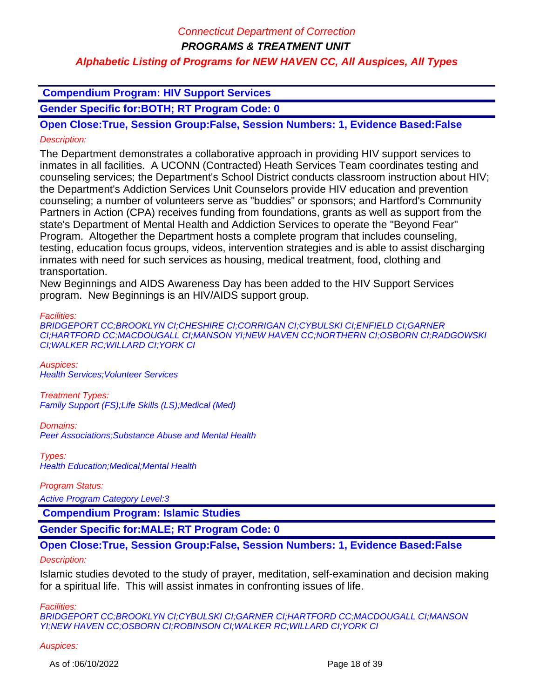**PROGRAMS & TREATMENT UNIT**

## **Alphabetic Listing of Programs for NEW HAVEN CC, All Auspices, All Types**

## **Compendium Program: HIV Support Services**

**Gender Specific for:BOTH; RT Program Code: 0**

**Open Close:True, Session Group:False, Session Numbers: 1, Evidence Based:False** Description:

The Department demonstrates a collaborative approach in providing HIV support services to inmates in all facilities. A UCONN (Contracted) Heath Services Team coordinates testing and counseling services; the Department's School District conducts classroom instruction about HIV; the Department's Addiction Services Unit Counselors provide HIV education and prevention counseling; a number of volunteers serve as "buddies" or sponsors; and Hartford's Community Partners in Action (CPA) receives funding from foundations, grants as well as support from the state's Department of Mental Health and Addiction Services to operate the "Beyond Fear" Program. Altogether the Department hosts a complete program that includes counseling, testing, education focus groups, videos, intervention strategies and is able to assist discharging inmates with need for such services as housing, medical treatment, food, clothing and transportation.

New Beginnings and AIDS Awareness Day has been added to the HIV Support Services program. New Beginnings is an HIV/AIDS support group.

Facilities:

BRIDGEPORT CC;BROOKLYN CI;CHESHIRE CI;CORRIGAN CI;CYBULSKI CI;ENFIELD CI;GARNER CI;HARTFORD CC;MACDOUGALL CI;MANSON YI;NEW HAVEN CC;NORTHERN CI;OSBORN CI;RADGOWSKI CI;WALKER RC;WILLARD CI;YORK CI

Auspices: Health Services;Volunteer Services

Treatment Types: Family Support (FS);Life Skills (LS);Medical (Med)

Domains: Peer Associations;Substance Abuse and Mental Health

Types: Health Education;Medical;Mental Health

Program Status:

Active Program Category Level:3

 **Compendium Program: Islamic Studies**

**Gender Specific for:MALE; RT Program Code: 0**

### **Open Close:True, Session Group:False, Session Numbers: 1, Evidence Based:False**

### Description:

Islamic studies devoted to the study of prayer, meditation, self-examination and decision making for a spiritual life. This will assist inmates in confronting issues of life.

Facilities:

BRIDGEPORT CC;BROOKLYN CI;CYBULSKI CI;GARNER CI;HARTFORD CC;MACDOUGALL CI;MANSON YI;NEW HAVEN CC;OSBORN CI;ROBINSON CI;WALKER RC;WILLARD CI;YORK CI

Auspices: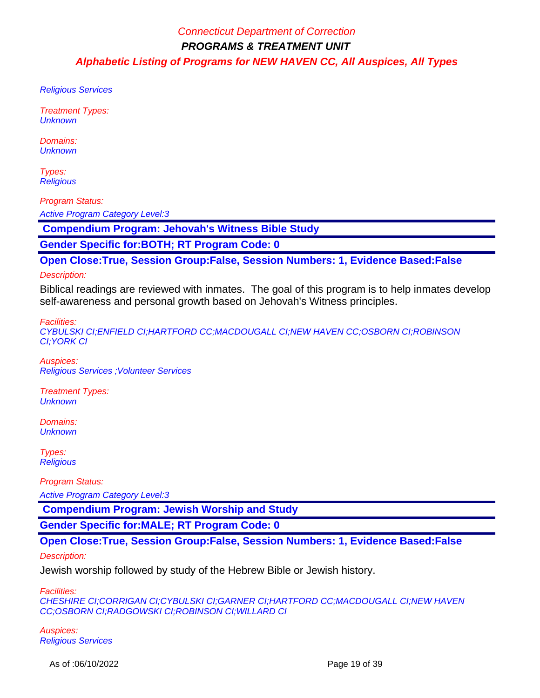Religious Services

Treatment Types: **Unknown** 

Domains: **Unknown** 

Types: **Religious** 

Program Status:

Active Program Category Level:3

 **Compendium Program: Jehovah's Witness Bible Study**

**Gender Specific for:BOTH; RT Program Code: 0**

**Open Close:True, Session Group:False, Session Numbers: 1, Evidence Based:False**

Description:

Biblical readings are reviewed with inmates. The goal of this program is to help inmates develop self-awareness and personal growth based on Jehovah's Witness principles.

Facilities:

CYBULSKI CI;ENFIELD CI;HARTFORD CC;MACDOUGALL CI;NEW HAVEN CC;OSBORN CI;ROBINSON CI;YORK CI

Auspices: Religious Services ;Volunteer Services

Treatment Types: **Unknown** 

Domains: **Unknown** 

Types: **Religious** 

Program Status:

Active Program Category Level:3

 **Compendium Program: Jewish Worship and Study**

**Gender Specific for:MALE; RT Program Code: 0**

**Open Close:True, Session Group:False, Session Numbers: 1, Evidence Based:False**

Description:

Jewish worship followed by study of the Hebrew Bible or Jewish history.

Facilities:

CHESHIRE CI;CORRIGAN CI;CYBULSKI CI;GARNER CI;HARTFORD CC;MACDOUGALL CI;NEW HAVEN CC;OSBORN CI;RADGOWSKI CI;ROBINSON CI;WILLARD CI

Auspices: Religious Services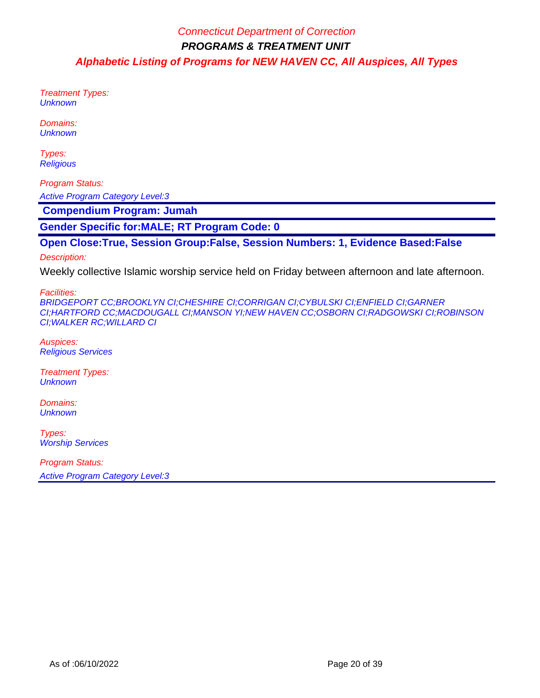Treatment Types: **Unknown** 

Domains: **Unknown** 

Types: **Religious** 

Program Status: Active Program Category Level:3

 **Compendium Program: Jumah**

**Gender Specific for:MALE; RT Program Code: 0**

**Open Close:True, Session Group:False, Session Numbers: 1, Evidence Based:False**

Description:

Weekly collective Islamic worship service held on Friday between afternoon and late afternoon.

Facilities:

BRIDGEPORT CC;BROOKLYN CI;CHESHIRE CI;CORRIGAN CI;CYBULSKI CI;ENFIELD CI;GARNER CI;HARTFORD CC;MACDOUGALL CI;MANSON YI;NEW HAVEN CC;OSBORN CI;RADGOWSKI CI;ROBINSON CI;WALKER RC;WILLARD CI

Auspices: Religious Services

Treatment Types: **Unknown** 

Domains: **Unknown** 

Types: **Worship Services**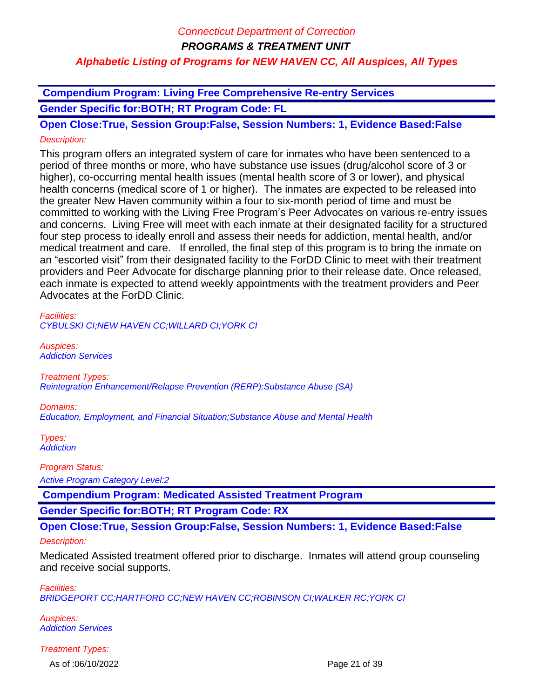**Compendium Program: Living Free Comprehensive Re-entry Services Gender Specific for:BOTH; RT Program Code: FL**

**Open Close:True, Session Group:False, Session Numbers: 1, Evidence Based:False** Description:

This program offers an integrated system of care for inmates who have been sentenced to a period of three months or more, who have substance use issues (drug/alcohol score of 3 or higher), co-occurring mental health issues (mental health score of 3 or lower), and physical health concerns (medical score of 1 or higher). The inmates are expected to be released into the greater New Haven community within a four to six-month period of time and must be committed to working with the Living Free Program's Peer Advocates on various re-entry issues and concerns. Living Free will meet with each inmate at their designated facility for a structured four step process to ideally enroll and assess their needs for addiction, mental health, and/or medical treatment and care. If enrolled, the final step of this program is to bring the inmate on an "escorted visit" from their designated facility to the ForDD Clinic to meet with their treatment providers and Peer Advocate for discharge planning prior to their release date. Once released, each inmate is expected to attend weekly appointments with the treatment providers and Peer Advocates at the ForDD Clinic.

Facilities:

CYBULSKI CI;NEW HAVEN CC;WILLARD CI;YORK CI

Auspices: Addiction Services

Treatment Types: Reintegration Enhancement/Relapse Prevention (RERP);Substance Abuse (SA)

Domains:

Education, Employment, and Financial Situation;Substance Abuse and Mental Health

Types: **Addiction** 

Program Status:

Active Program Category Level:2

 **Compendium Program: Medicated Assisted Treatment Program**

**Gender Specific for:BOTH; RT Program Code: RX**

**Open Close:True, Session Group:False, Session Numbers: 1, Evidence Based:False**

### Description:

Medicated Assisted treatment offered prior to discharge. Inmates will attend group counseling and receive social supports.

Facilities: BRIDGEPORT CC;HARTFORD CC;NEW HAVEN CC;ROBINSON CI;WALKER RC;YORK CI

Auspices: Addiction Services

Treatment Types:

As of :06/10/2022 **Page 21 of 39**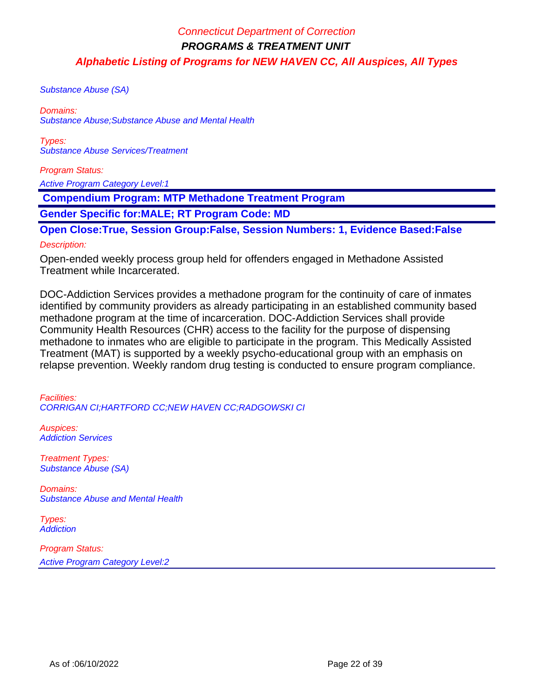Substance Abuse (SA)

Domains: Substance Abuse;Substance Abuse and Mental Health

Types: Substance Abuse Services/Treatment

Program Status:

Active Program Category Level:1

 **Compendium Program: MTP Methadone Treatment Program**

**Gender Specific for:MALE; RT Program Code: MD**

**Open Close:True, Session Group:False, Session Numbers: 1, Evidence Based:False** Description:

Open-ended weekly process group held for offenders engaged in Methadone Assisted Treatment while Incarcerated.

DOC-Addiction Services provides a methadone program for the continuity of care of inmates identified by community providers as already participating in an established community based methadone program at the time of incarceration. DOC-Addiction Services shall provide Community Health Resources (CHR) access to the facility for the purpose of dispensing methadone to inmates who are eligible to participate in the program. This Medically Assisted Treatment (MAT) is supported by a weekly psycho-educational group with an emphasis on relapse prevention. Weekly random drug testing is conducted to ensure program compliance.

Facilities: CORRIGAN CI;HARTFORD CC;NEW HAVEN CC;RADGOWSKI CI

Auspices: Addiction Services

Treatment Types: Substance Abuse (SA)

Domains: Substance Abuse and Mental Health

Types: **Addiction**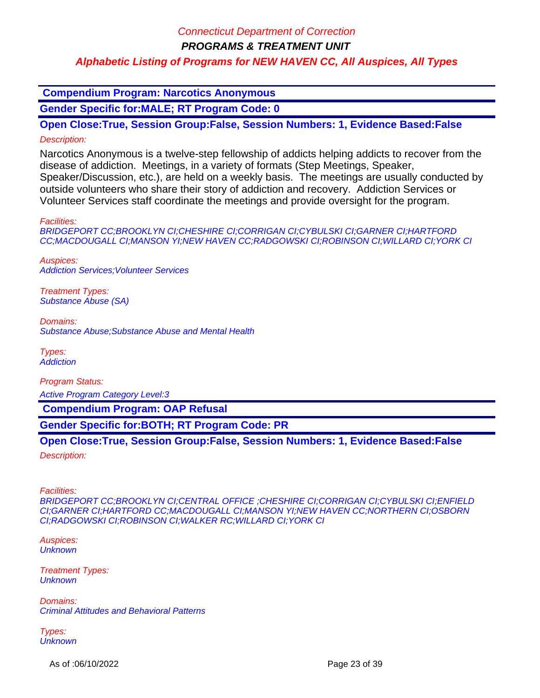**PROGRAMS & TREATMENT UNIT**

### **Alphabetic Listing of Programs for NEW HAVEN CC, All Auspices, All Types**

 **Compendium Program: Narcotics Anonymous**

**Gender Specific for:MALE; RT Program Code: 0**

**Open Close:True, Session Group:False, Session Numbers: 1, Evidence Based:False** Description:

Narcotics Anonymous is a twelve-step fellowship of addicts helping addicts to recover from the disease of addiction. Meetings, in a variety of formats (Step Meetings, Speaker, Speaker/Discussion, etc.), are held on a weekly basis. The meetings are usually conducted by outside volunteers who share their story of addiction and recovery. Addiction Services or Volunteer Services staff coordinate the meetings and provide oversight for the program.

Facilities:

BRIDGEPORT CC;BROOKLYN CI;CHESHIRE CI;CORRIGAN CI;CYBULSKI CI;GARNER CI;HARTFORD CC;MACDOUGALL CI;MANSON YI;NEW HAVEN CC;RADGOWSKI CI;ROBINSON CI;WILLARD CI;YORK CI

Auspices: Addiction Services;Volunteer Services

Treatment Types: Substance Abuse (SA)

Domains: Substance Abuse;Substance Abuse and Mental Health

Types: **Addiction** 

Program Status:

Active Program Category Level:3

 **Compendium Program: OAP Refusal**

**Gender Specific for:BOTH; RT Program Code: PR**

**Open Close:True, Session Group:False, Session Numbers: 1, Evidence Based:False**

Description:

Facilities:

BRIDGEPORT CC;BROOKLYN CI;CENTRAL OFFICE ;CHESHIRE CI;CORRIGAN CI;CYBULSKI CI;ENFIELD CI;GARNER CI;HARTFORD CC;MACDOUGALL CI;MANSON YI;NEW HAVEN CC;NORTHERN CI;OSBORN CI;RADGOWSKI CI;ROBINSON CI;WALKER RC;WILLARD CI;YORK CI

Auspices: **Unknown** 

Treatment Types: **Unknown** 

Domains: Criminal Attitudes and Behavioral Patterns

Types: **Unknown** 

As of :06/10/2022 **Page 23 of 39**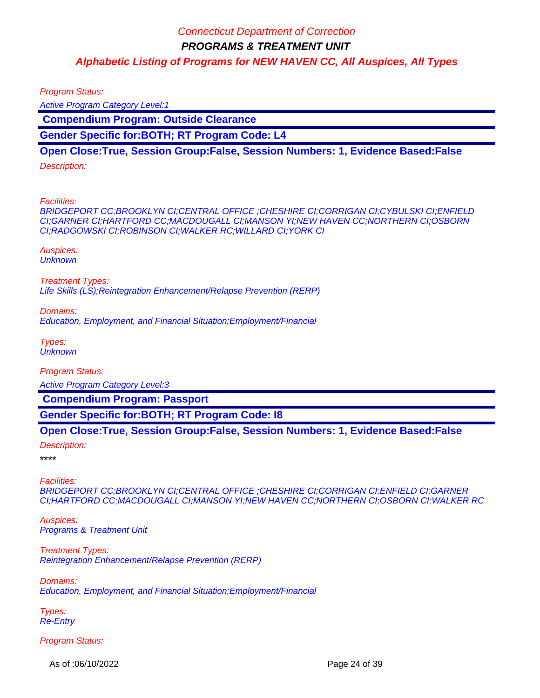Program Status:

Active Program Category Level:1

 **Compendium Program: Outside Clearance**

**Gender Specific for:BOTH; RT Program Code: L4**

**Open Close:True, Session Group:False, Session Numbers: 1, Evidence Based:False**

Description:

Facilities:

BRIDGEPORT CC;BROOKLYN CI;CENTRAL OFFICE ;CHESHIRE CI;CORRIGAN CI;CYBULSKI CI;ENFIELD CI;GARNER CI;HARTFORD CC;MACDOUGALL CI;MANSON YI;NEW HAVEN CC;NORTHERN CI;OSBORN CI;RADGOWSKI CI;ROBINSON CI;WALKER RC;WILLARD CI;YORK CI

Auspices: **Unknown** 

Treatment Types: Life Skills (LS);Reintegration Enhancement/Relapse Prevention (RERP)

Domains:

Education, Employment, and Financial Situation;Employment/Financial

Types: **Unknown** 

Program Status:

Active Program Category Level:3

 **Compendium Program: Passport**

**Gender Specific for:BOTH; RT Program Code: I8**

### **Open Close:True, Session Group:False, Session Numbers: 1, Evidence Based:False**

Description:

\*\*\*\*

Facilities:

BRIDGEPORT CC;BROOKLYN CI;CENTRAL OFFICE ;CHESHIRE CI;CORRIGAN CI;ENFIELD CI;GARNER CI;HARTFORD CC;MACDOUGALL CI;MANSON YI;NEW HAVEN CC;NORTHERN CI;OSBORN CI;WALKER RC

Auspices: Programs & Treatment Unit

Treatment Types: Reintegration Enhancement/Relapse Prevention (RERP)

Domains: Education, Employment, and Financial Situation;Employment/Financial

Types: Re-Entry

Program Status:

As of :06/10/2022 **Page 24 of 39**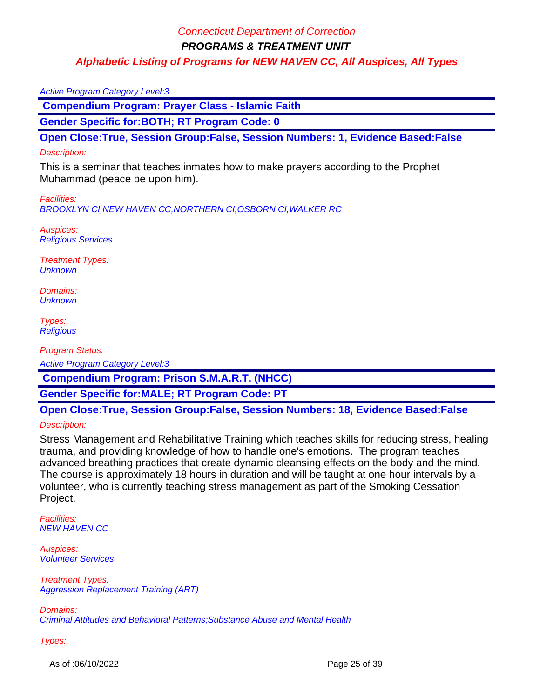**PROGRAMS & TREATMENT UNIT**

**Alphabetic Listing of Programs for NEW HAVEN CC, All Auspices, All Types**

#### Active Program Category Level:3

 **Compendium Program: Prayer Class - Islamic Faith**

**Gender Specific for:BOTH; RT Program Code: 0**

**Open Close:True, Session Group:False, Session Numbers: 1, Evidence Based:False**

#### Description:

This is a seminar that teaches inmates how to make prayers according to the Prophet Muhammad (peace be upon him).

Facilities:

BROOKLYN CI;NEW HAVEN CC;NORTHERN CI;OSBORN CI;WALKER RC

Auspices: Religious Services

Treatment Types: **Unknown** 

Domains: **Unknown** 

Types: **Religious** 

Program Status:

Active Program Category Level:3

 **Compendium Program: Prison S.M.A.R.T. (NHCC)**

**Gender Specific for:MALE; RT Program Code: PT**

**Open Close:True, Session Group:False, Session Numbers: 18, Evidence Based:False**

Description:

Stress Management and Rehabilitative Training which teaches skills for reducing stress, healing trauma, and providing knowledge of how to handle one's emotions. The program teaches advanced breathing practices that create dynamic cleansing effects on the body and the mind. The course is approximately 18 hours in duration and will be taught at one hour intervals by a volunteer, who is currently teaching stress management as part of the Smoking Cessation Project.

Facilities: NEW HAVEN CC

Auspices: Volunteer Services

Treatment Types: Aggression Replacement Training (ART)

Domains: Criminal Attitudes and Behavioral Patterns;Substance Abuse and Mental Health

Types:

As of :06/10/2022 **Page 25 of 39**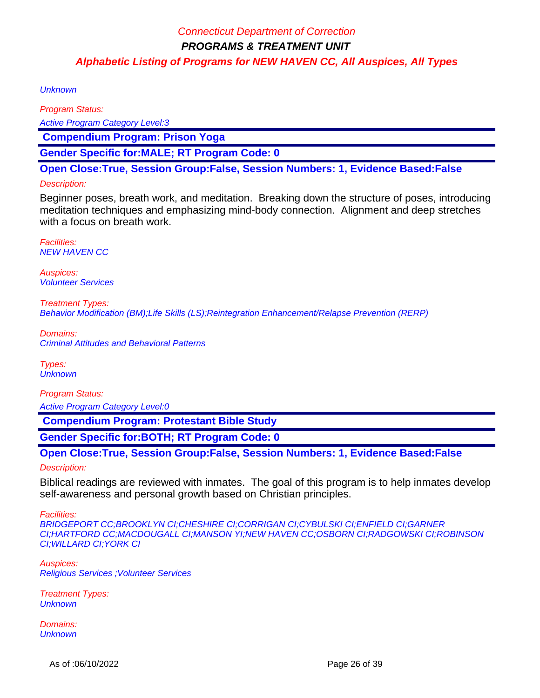**Unknown** 

Program Status: Active Program Category Level:3  **Compendium Program: Prison Yoga**

**Gender Specific for:MALE; RT Program Code: 0**

**Open Close:True, Session Group:False, Session Numbers: 1, Evidence Based:False**

### Description:

Beginner poses, breath work, and meditation. Breaking down the structure of poses, introducing meditation techniques and emphasizing mind-body connection. Alignment and deep stretches with a focus on breath work.

Facilities: NEW HAVEN CC

Auspices: Volunteer Services

Treatment Types: Behavior Modification (BM);Life Skills (LS);Reintegration Enhancement/Relapse Prevention (RERP)

Domains: Criminal Attitudes and Behavioral Patterns

Types: **Unknown** 

Program Status:

Active Program Category Level:0

 **Compendium Program: Protestant Bible Study**

**Gender Specific for:BOTH; RT Program Code: 0**

**Open Close:True, Session Group:False, Session Numbers: 1, Evidence Based:False** Description:

Biblical readings are reviewed with inmates. The goal of this program is to help inmates develop self-awareness and personal growth based on Christian principles.

Facilities:

BRIDGEPORT CC;BROOKLYN CI;CHESHIRE CI;CORRIGAN CI;CYBULSKI CI;ENFIELD CI;GARNER CI;HARTFORD CC;MACDOUGALL CI;MANSON YI;NEW HAVEN CC;OSBORN CI;RADGOWSKI CI;ROBINSON CI;WILLARD CI;YORK CI

Auspices: Religious Services ;Volunteer Services

Treatment Types: **Unknown** 

Domains: **Unknown**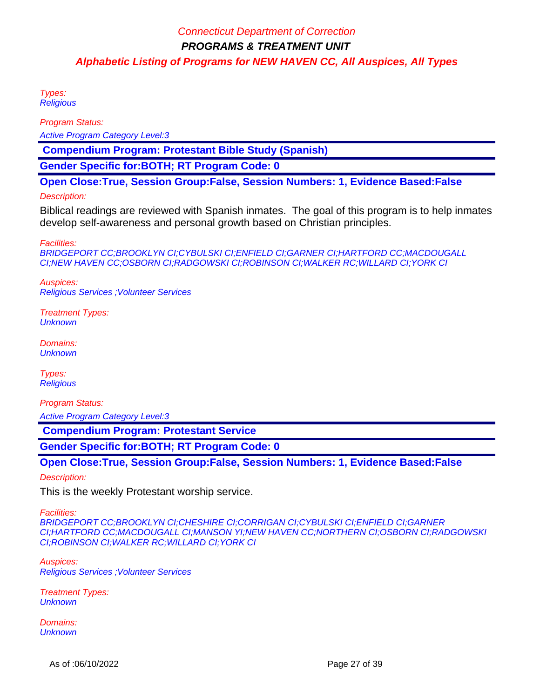Types: **Religious** 

Program Status:

Active Program Category Level:3

 **Compendium Program: Protestant Bible Study (Spanish)**

**Gender Specific for:BOTH; RT Program Code: 0**

**Open Close:True, Session Group:False, Session Numbers: 1, Evidence Based:False**

#### Description:

Biblical readings are reviewed with Spanish inmates. The goal of this program is to help inmates develop self-awareness and personal growth based on Christian principles.

Facilities:

BRIDGEPORT CC;BROOKLYN CI;CYBULSKI CI;ENFIELD CI;GARNER CI;HARTFORD CC;MACDOUGALL CI;NEW HAVEN CC;OSBORN CI;RADGOWSKI CI;ROBINSON CI;WALKER RC;WILLARD CI;YORK CI

Auspices: Religious Services ;Volunteer Services

Treatment Types: **Unknown** 

Domains: **Unknown** 

Types: **Religious** 

Program Status:

Active Program Category Level:3

 **Compendium Program: Protestant Service**

**Gender Specific for:BOTH; RT Program Code: 0**

**Open Close:True, Session Group:False, Session Numbers: 1, Evidence Based:False**

Description:

This is the weekly Protestant worship service.

Facilities:

BRIDGEPORT CC;BROOKLYN CI;CHESHIRE CI;CORRIGAN CI;CYBULSKI CI;ENFIELD CI;GARNER CI;HARTFORD CC;MACDOUGALL CI;MANSON YI;NEW HAVEN CC;NORTHERN CI;OSBORN CI;RADGOWSKI CI;ROBINSON CI;WALKER RC;WILLARD CI;YORK CI

Auspices: Religious Services ;Volunteer Services

Treatment Types: **Unknown** 

Domains: **Unknown**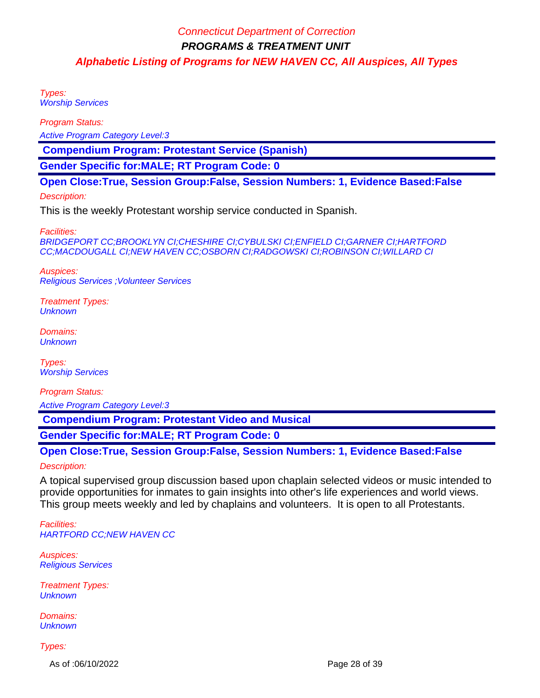Types: Worship Services

Program Status:

Active Program Category Level:3

 **Compendium Program: Protestant Service (Spanish)**

**Gender Specific for:MALE; RT Program Code: 0**

**Open Close:True, Session Group:False, Session Numbers: 1, Evidence Based:False**

#### Description:

This is the weekly Protestant worship service conducted in Spanish.

Facilities:

BRIDGEPORT CC;BROOKLYN CI;CHESHIRE CI;CYBULSKI CI;ENFIELD CI;GARNER CI;HARTFORD CC;MACDOUGALL CI;NEW HAVEN CC;OSBORN CI;RADGOWSKI CI;ROBINSON CI;WILLARD CI

Auspices: Religious Services ;Volunteer Services

Treatment Types: **Unknown** 

Domains: **Unknown** 

Types: **Worship Services** 

Program Status:

Active Program Category Level:3

 **Compendium Program: Protestant Video and Musical**

**Gender Specific for:MALE; RT Program Code: 0**

### **Open Close:True, Session Group:False, Session Numbers: 1, Evidence Based:False**

Description:

A topical supervised group discussion based upon chaplain selected videos or music intended to provide opportunities for inmates to gain insights into other's life experiences and world views. This group meets weekly and led by chaplains and volunteers. It is open to all Protestants.

Facilities: HARTFORD CC;NEW HAVEN CC

Auspices: Religious Services

Treatment Types: **Unknown** 

Domains: **Unknown** 

Types:

As of :06/10/2022 **Page 28 of 39**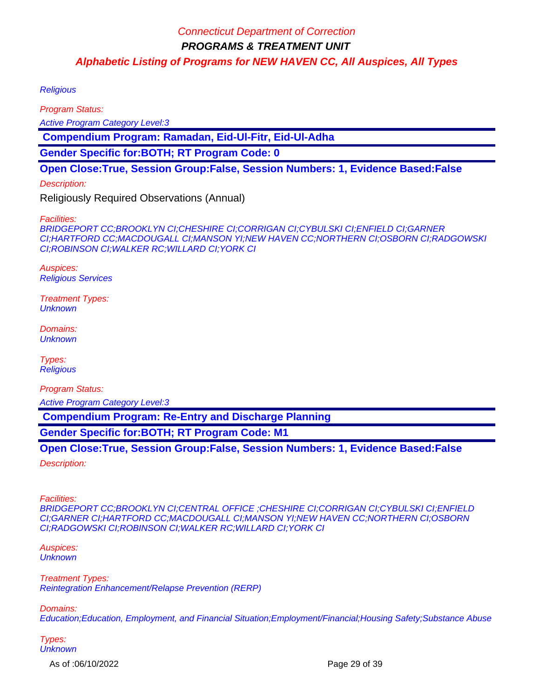**Religious** 

Program Status:

Active Program Category Level:3

 **Compendium Program: Ramadan, Eid-Ul-Fitr, Eid-Ul-Adha**

**Gender Specific for:BOTH; RT Program Code: 0**

### **Open Close:True, Session Group:False, Session Numbers: 1, Evidence Based:False**

Description:

Religiously Required Observations (Annual)

Facilities:

BRIDGEPORT CC;BROOKLYN CI;CHESHIRE CI;CORRIGAN CI;CYBULSKI CI;ENFIELD CI;GARNER CI;HARTFORD CC;MACDOUGALL CI;MANSON YI;NEW HAVEN CC;NORTHERN CI;OSBORN CI;RADGOWSKI CI;ROBINSON CI;WALKER RC;WILLARD CI;YORK CI

Auspices: Religious Services

Treatment Types: **Unknown** 

Domains: **Unknown** 

Types: **Religious** 

Program Status: Active Program Category Level:3

 **Compendium Program: Re-Entry and Discharge Planning**

**Gender Specific for:BOTH; RT Program Code: M1**

**Open Close:True, Session Group:False, Session Numbers: 1, Evidence Based:False** Description:

Facilities: BRIDGEPORT CC;BROOKLYN CI;CENTRAL OFFICE ;CHESHIRE CI;CORRIGAN CI;CYBULSKI CI;ENFIELD CI;GARNER CI;HARTFORD CC;MACDOUGALL CI;MANSON YI;NEW HAVEN CC;NORTHERN CI;OSBORN CI;RADGOWSKI CI;ROBINSON CI;WALKER RC;WILLARD CI;YORK CI

Auspices: **Unknown** 

Treatment Types: Reintegration Enhancement/Relapse Prevention (RERP)

Domains:

Education;Education, Employment, and Financial Situation;Employment/Financial;Housing Safety;Substance Abuse

Types: **Unknown** 

As of :06/10/2022 Page 29 of 39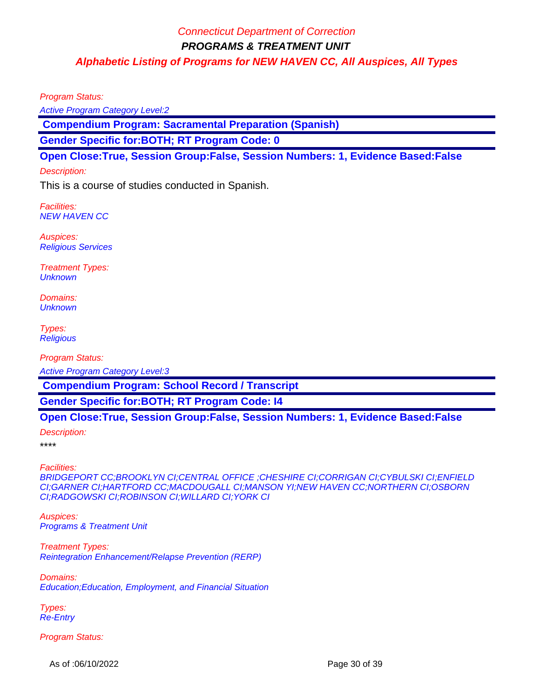Program Status:

Active Program Category Level:2

 **Compendium Program: Sacramental Preparation (Spanish)**

**Gender Specific for:BOTH; RT Program Code: 0**

**Open Close:True, Session Group:False, Session Numbers: 1, Evidence Based:False**

#### Description:

This is a course of studies conducted in Spanish.

Facilities: NEW HAVEN CC

Auspices: Religious Services

Treatment Types: **Unknown** 

Domains: **Unknown** 

Types: **Religious** 

Program Status:

Active Program Category Level:3

 **Compendium Program: School Record / Transcript**

**Gender Specific for:BOTH; RT Program Code: I4**

### **Open Close:True, Session Group:False, Session Numbers: 1, Evidence Based:False**

Description:

\*\*\*\*

Facilities:

BRIDGEPORT CC;BROOKLYN CI;CENTRAL OFFICE ;CHESHIRE CI;CORRIGAN CI;CYBULSKI CI;ENFIELD CI;GARNER CI;HARTFORD CC;MACDOUGALL CI;MANSON YI;NEW HAVEN CC;NORTHERN CI;OSBORN CI;RADGOWSKI CI;ROBINSON CI;WILLARD CI;YORK CI

Auspices: Programs & Treatment Unit

Treatment Types: Reintegration Enhancement/Relapse Prevention (RERP)

Domains: Education;Education, Employment, and Financial Situation

Types: Re-Entry

Program Status:

As of :06/10/2022 **Page 30 of 39**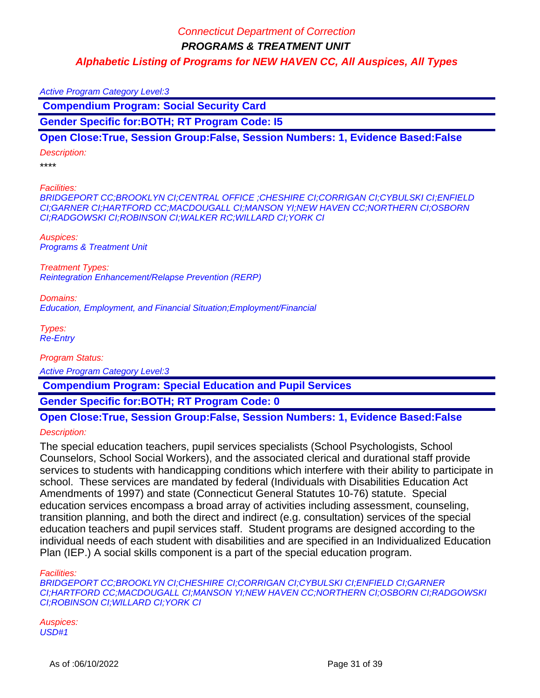Active Program Category Level:3

 **Compendium Program: Social Security Card**

**Gender Specific for:BOTH; RT Program Code: I5**

### **Open Close:True, Session Group:False, Session Numbers: 1, Evidence Based:False**

Description:

\*\*\*\*

Facilities:

BRIDGEPORT CC;BROOKLYN CI;CENTRAL OFFICE ;CHESHIRE CI;CORRIGAN CI;CYBULSKI CI;ENFIELD CI;GARNER CI;HARTFORD CC;MACDOUGALL CI;MANSON YI;NEW HAVEN CC;NORTHERN CI;OSBORN CI;RADGOWSKI CI;ROBINSON CI;WALKER RC;WILLARD CI;YORK CI

Auspices: Programs & Treatment Unit

Treatment Types: Reintegration Enhancement/Relapse Prevention (RERP)

Domains: Education, Employment, and Financial Situation;Employment/Financial

Types: Re-Entry

Program Status:

Active Program Category Level:3

 **Compendium Program: Special Education and Pupil Services**

**Gender Specific for:BOTH; RT Program Code: 0**

## **Open Close:True, Session Group:False, Session Numbers: 1, Evidence Based:False** Description:

The special education teachers, pupil services specialists (School Psychologists, School Counselors, School Social Workers), and the associated clerical and durational staff provide services to students with handicapping conditions which interfere with their ability to participate in school. These services are mandated by federal (Individuals with Disabilities Education Act Amendments of 1997) and state (Connecticut General Statutes 10-76) statute. Special education services encompass a broad array of activities including assessment, counseling, transition planning, and both the direct and indirect (e.g. consultation) services of the special education teachers and pupil services staff. Student programs are designed according to the individual needs of each student with disabilities and are specified in an Individualized Education Plan (IEP.) A social skills component is a part of the special education program.

Facilities:

BRIDGEPORT CC;BROOKLYN CI;CHESHIRE CI;CORRIGAN CI;CYBULSKI CI;ENFIELD CI;GARNER CI;HARTFORD CC;MACDOUGALL CI;MANSON YI;NEW HAVEN CC;NORTHERN CI;OSBORN CI;RADGOWSKI CI;ROBINSON CI;WILLARD CI;YORK CI

Auspices: USD#1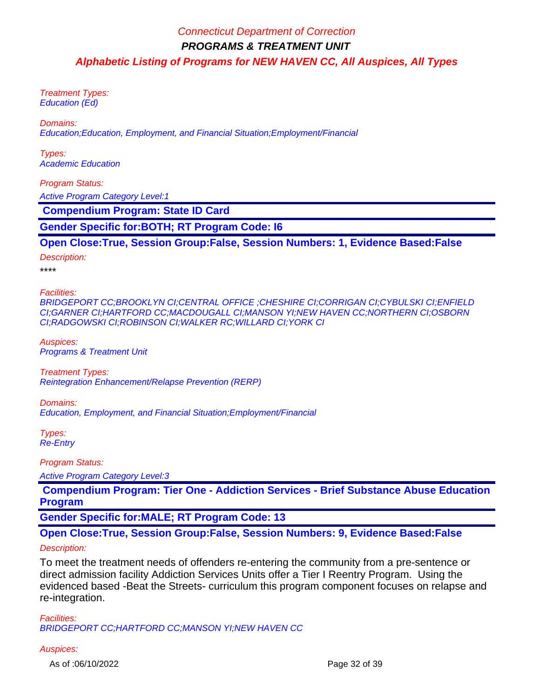Treatment Types: Education (Ed)

Domains:

Education;Education, Employment, and Financial Situation;Employment/Financial

Types: Academic Education

Program Status:

Active Program Category Level:1

 **Compendium Program: State ID Card**

**Gender Specific for:BOTH; RT Program Code: I6**

**Open Close:True, Session Group:False, Session Numbers: 1, Evidence Based:False**

Description:

\*\*\*\*

Facilities:

BRIDGEPORT CC;BROOKLYN CI;CENTRAL OFFICE ;CHESHIRE CI;CORRIGAN CI;CYBULSKI CI;ENFIELD CI;GARNER CI;HARTFORD CC;MACDOUGALL CI;MANSON YI;NEW HAVEN CC;NORTHERN CI;OSBORN CI;RADGOWSKI CI;ROBINSON CI;WALKER RC;WILLARD CI;YORK CI

Auspices: Programs & Treatment Unit

Treatment Types: Reintegration Enhancement/Relapse Prevention (RERP)

Domains: Education, Employment, and Financial Situation;Employment/Financial

Types: Re-Entry

Program Status:

Active Program Category Level:3

 **Compendium Program: Tier One - Addiction Services - Brief Substance Abuse Education Program**

**Gender Specific for:MALE; RT Program Code: 13**

**Open Close:True, Session Group:False, Session Numbers: 9, Evidence Based:False**

### Description:

To meet the treatment needs of offenders re-entering the community from a pre-sentence or direct admission facility Addiction Services Units offer a Tier I Reentry Program. Using the evidenced based -Beat the Streets- curriculum this program component focuses on relapse and re-integration.

Facilities: BRIDGEPORT CC;HARTFORD CC;MANSON YI;NEW HAVEN CC

#### Auspices:

As of :06/10/2022 **Page 32 of 39**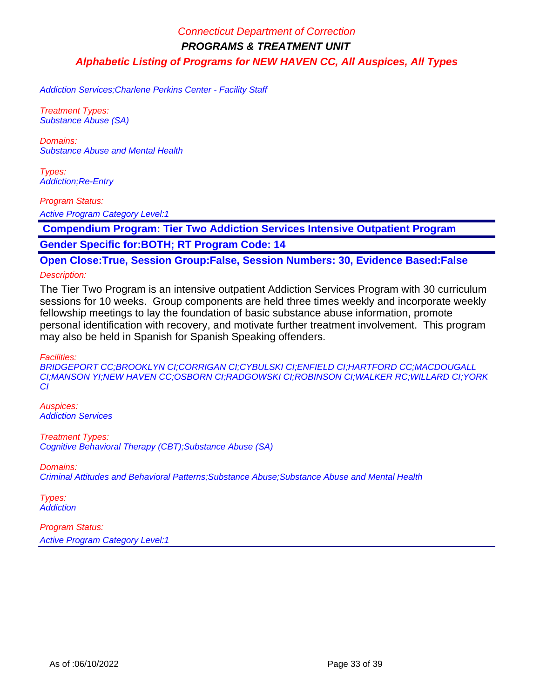Addiction Services;Charlene Perkins Center - Facility Staff

Treatment Types: Substance Abuse (SA)

Domains: Substance Abuse and Mental Health

Types: Addiction;Re-Entry

Program Status:

Active Program Category Level:1

 **Compendium Program: Tier Two Addiction Services Intensive Outpatient Program**

**Gender Specific for:BOTH; RT Program Code: 14**

**Open Close:True, Session Group:False, Session Numbers: 30, Evidence Based:False**

Description:

The Tier Two Program is an intensive outpatient Addiction Services Program with 30 curriculum sessions for 10 weeks. Group components are held three times weekly and incorporate weekly fellowship meetings to lay the foundation of basic substance abuse information, promote personal identification with recovery, and motivate further treatment involvement. This program may also be held in Spanish for Spanish Speaking offenders.

Facilities:

BRIDGEPORT CC;BROOKLYN CI;CORRIGAN CI;CYBULSKI CI;ENFIELD CI;HARTFORD CC;MACDOUGALL CI;MANSON YI;NEW HAVEN CC;OSBORN CI;RADGOWSKI CI;ROBINSON CI;WALKER RC;WILLARD CI;YORK CI

Auspices: Addiction Services

Treatment Types: Cognitive Behavioral Therapy (CBT);Substance Abuse (SA)

Domains:

Criminal Attitudes and Behavioral Patterns;Substance Abuse;Substance Abuse and Mental Health

Types: **Addiction**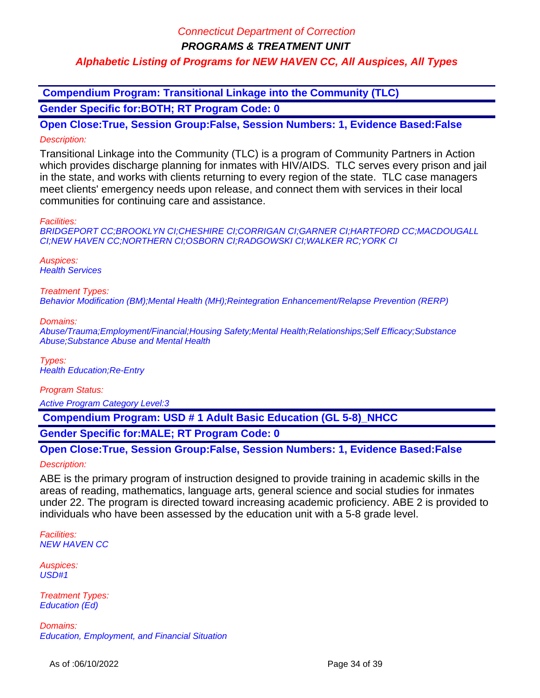**PROGRAMS & TREATMENT UNIT**

## **Alphabetic Listing of Programs for NEW HAVEN CC, All Auspices, All Types**

 **Compendium Program: Transitional Linkage into the Community (TLC)**

**Gender Specific for:BOTH; RT Program Code: 0**

**Open Close:True, Session Group:False, Session Numbers: 1, Evidence Based:False** Description:

Transitional Linkage into the Community (TLC) is a program of Community Partners in Action which provides discharge planning for inmates with HIV/AIDS. TLC serves every prison and jail in the state, and works with clients returning to every region of the state. TLC case managers meet clients' emergency needs upon release, and connect them with services in their local communities for continuing care and assistance.

Facilities:

BRIDGEPORT CC;BROOKLYN CI;CHESHIRE CI;CORRIGAN CI;GARNER CI;HARTFORD CC;MACDOUGALL CI;NEW HAVEN CC;NORTHERN CI;OSBORN CI;RADGOWSKI CI;WALKER RC;YORK CI

Auspices: **Health Services** 

Treatment Types:

Behavior Modification (BM);Mental Health (MH);Reintegration Enhancement/Relapse Prevention (RERP)

Domains:

Abuse/Trauma;Employment/Financial;Housing Safety;Mental Health;Relationships;Self Efficacy;Substance Abuse;Substance Abuse and Mental Health

Types: Health Education;Re-Entry

Program Status:

Active Program Category Level:3

 **Compendium Program: USD # 1 Adult Basic Education (GL 5-8)\_NHCC**

**Gender Specific for:MALE; RT Program Code: 0**

**Open Close:True, Session Group:False, Session Numbers: 1, Evidence Based:False** Description:

ABE is the primary program of instruction designed to provide training in academic skills in the areas of reading, mathematics, language arts, general science and social studies for inmates under 22. The program is directed toward increasing academic proficiency. ABE 2 is provided to individuals who have been assessed by the education unit with a 5-8 grade level.

Facilities: NEW HAVEN CC

Auspices: USD#1

Treatment Types: Education (Ed)

Domains: Education, Employment, and Financial Situation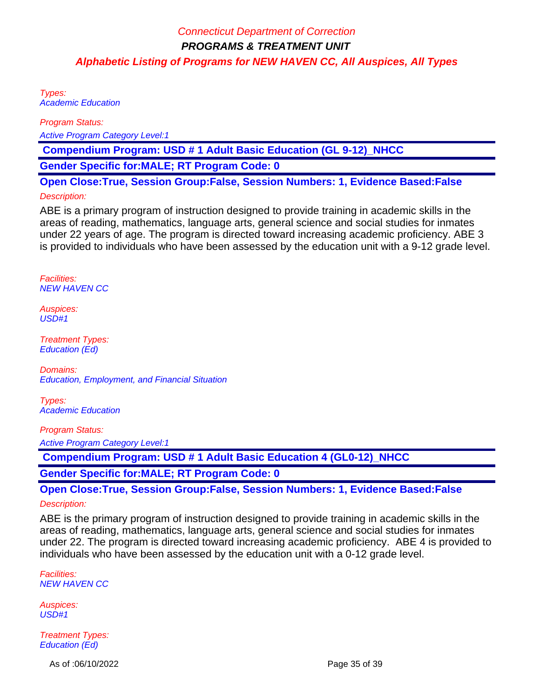Types: Academic Education

Program Status:

Active Program Category Level:1

 **Compendium Program: USD # 1 Adult Basic Education (GL 9-12)\_NHCC**

**Gender Specific for:MALE; RT Program Code: 0**

**Open Close:True, Session Group:False, Session Numbers: 1, Evidence Based:False**

### Description:

ABE is a primary program of instruction designed to provide training in academic skills in the areas of reading, mathematics, language arts, general science and social studies for inmates under 22 years of age. The program is directed toward increasing academic proficiency. ABE 3 is provided to individuals who have been assessed by the education unit with a 9-12 grade level.

Facilities: NEW HAVEN CC

Auspices: USD#1

Treatment Types: Education (Ed)

Domains: Education, Employment, and Financial Situation

Types: Academic Education

Program Status:

Active Program Category Level:1

 **Compendium Program: USD # 1 Adult Basic Education 4 (GL0-12)\_NHCC**

**Gender Specific for:MALE; RT Program Code: 0**

**Open Close:True, Session Group:False, Session Numbers: 1, Evidence Based:False** Description:

ABE is the primary program of instruction designed to provide training in academic skills in the areas of reading, mathematics, language arts, general science and social studies for inmates under 22. The program is directed toward increasing academic proficiency. ABE 4 is provided to individuals who have been assessed by the education unit with a 0-12 grade level.

Facilities: NEW HAVEN CC

Auspices: USD#1

Treatment Types: Education (Ed)

As of :06/10/2022 **Page 35 of 39**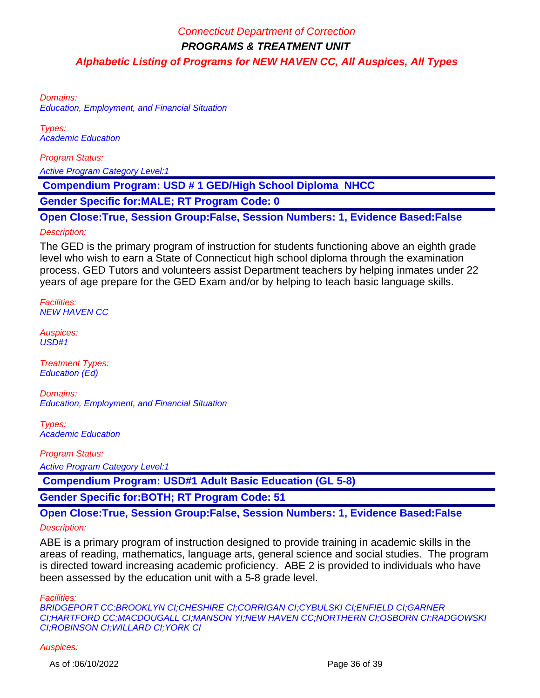Domains: Education, Employment, and Financial Situation

Types: Academic Education

Program Status:

Active Program Category Level:1

 **Compendium Program: USD # 1 GED/High School Diploma\_NHCC**

**Gender Specific for:MALE; RT Program Code: 0**

**Open Close:True, Session Group:False, Session Numbers: 1, Evidence Based:False** Description:

The GED is the primary program of instruction for students functioning above an eighth grade level who wish to earn a State of Connecticut high school diploma through the examination process. GED Tutors and volunteers assist Department teachers by helping inmates under 22 years of age prepare for the GED Exam and/or by helping to teach basic language skills.

Facilities: NEW HAVEN CC

Auspices: USD#1

Treatment Types: Education (Ed)

Domains: Education, Employment, and Financial Situation

Types: Academic Education

Program Status:

Active Program Category Level:1

 **Compendium Program: USD#1 Adult Basic Education (GL 5-8)**

**Gender Specific for:BOTH; RT Program Code: 51**

**Open Close:True, Session Group:False, Session Numbers: 1, Evidence Based:False**

#### Description:

ABE is a primary program of instruction designed to provide training in academic skills in the areas of reading, mathematics, language arts, general science and social studies. The program is directed toward increasing academic proficiency. ABE 2 is provided to individuals who have been assessed by the education unit with a 5-8 grade level.

Facilities:

BRIDGEPORT CC;BROOKLYN CI;CHESHIRE CI;CORRIGAN CI;CYBULSKI CI;ENFIELD CI;GARNER CI;HARTFORD CC;MACDOUGALL CI;MANSON YI;NEW HAVEN CC;NORTHERN CI;OSBORN CI;RADGOWSKI CI;ROBINSON CI;WILLARD CI;YORK CI

#### Auspices: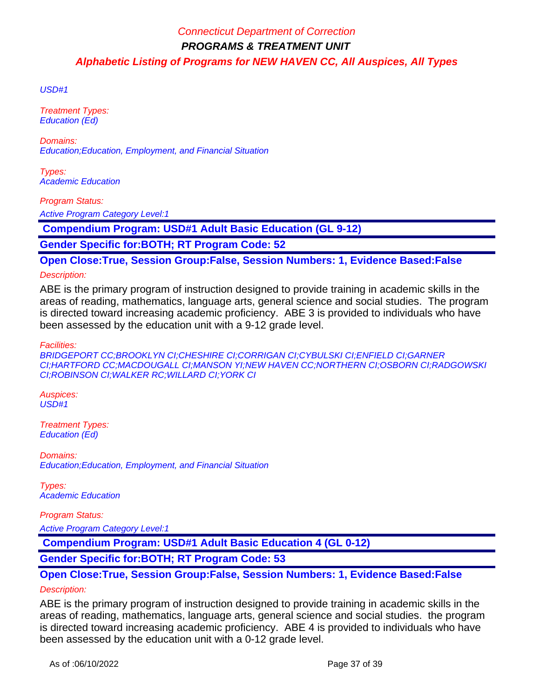USD#1

Treatment Types: Education (Ed)

Domains: Education;Education, Employment, and Financial Situation

Types: Academic Education

Program Status:

**Active Program Category Level:1** 

 **Compendium Program: USD#1 Adult Basic Education (GL 9-12)**

**Gender Specific for:BOTH; RT Program Code: 52**

**Open Close:True, Session Group:False, Session Numbers: 1, Evidence Based:False**

Description:

ABE is the primary program of instruction designed to provide training in academic skills in the areas of reading, mathematics, language arts, general science and social studies. The program is directed toward increasing academic proficiency. ABE 3 is provided to individuals who have been assessed by the education unit with a 9-12 grade level.

Facilities:

BRIDGEPORT CC;BROOKLYN CI;CHESHIRE CI;CORRIGAN CI;CYBULSKI CI;ENFIELD CI;GARNER CI;HARTFORD CC;MACDOUGALL CI;MANSON YI;NEW HAVEN CC;NORTHERN CI;OSBORN CI;RADGOWSKI CI;ROBINSON CI;WALKER RC;WILLARD CI;YORK CI

Auspices: USD#1

Treatment Types: Education (Ed)

Domains: Education;Education, Employment, and Financial Situation

Types: Academic Education

Program Status: Active Program Category Level:1

 **Compendium Program: USD#1 Adult Basic Education 4 (GL 0-12)**

**Gender Specific for:BOTH; RT Program Code: 53**

# **Open Close:True, Session Group:False, Session Numbers: 1, Evidence Based:False**

### Description:

ABE is the primary program of instruction designed to provide training in academic skills in the areas of reading, mathematics, language arts, general science and social studies. the program is directed toward increasing academic proficiency. ABE 4 is provided to individuals who have been assessed by the education unit with a 0-12 grade level.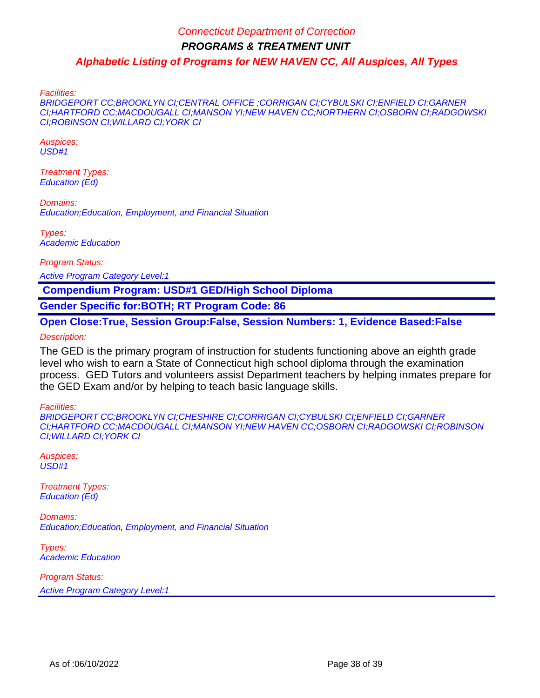Facilities:

BRIDGEPORT CC;BROOKLYN CI;CENTRAL OFFICE ;CORRIGAN CI;CYBULSKI CI;ENFIELD CI;GARNER CI;HARTFORD CC;MACDOUGALL CI;MANSON YI;NEW HAVEN CC;NORTHERN CI;OSBORN CI;RADGOWSKI CI;ROBINSON CI;WILLARD CI;YORK CI

Auspices: USD#1

Treatment Types: Education (Ed)

Domains: Education;Education, Employment, and Financial Situation

Types: Academic Education

Program Status:

Active Program Category Level:1

 **Compendium Program: USD#1 GED/High School Diploma**

**Gender Specific for:BOTH; RT Program Code: 86**

**Open Close:True, Session Group:False, Session Numbers: 1, Evidence Based:False** Description:

The GED is the primary program of instruction for students functioning above an eighth grade level who wish to earn a State of Connecticut high school diploma through the examination process. GED Tutors and volunteers assist Department teachers by helping inmates prepare for the GED Exam and/or by helping to teach basic language skills.

Facilities:

BRIDGEPORT CC;BROOKLYN CI;CHESHIRE CI;CORRIGAN CI;CYBULSKI CI;ENFIELD CI;GARNER CI;HARTFORD CC;MACDOUGALL CI;MANSON YI;NEW HAVEN CC;OSBORN CI;RADGOWSKI CI;ROBINSON CI;WILLARD CI;YORK CI

Auspices: USD#1

Treatment Types: Education (Ed)

Domains: Education;Education, Employment, and Financial Situation

Types: Academic Education